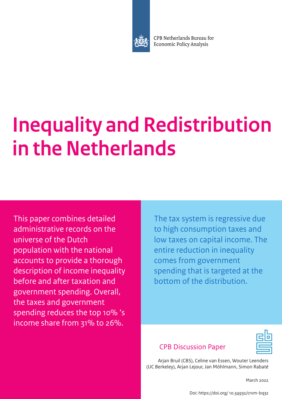

CPB Netherlands Bureau for **Economic Policy Analysis** 

# **Inequality and Redistribution in the Netherlands**

This paper combines detailed administrative records on the universe of the Dutch population with the national accounts to provide a thorough description of income inequality before and after taxation and government spending. Overall, the taxes and government spending reduces the top 10% 's income share from 31% to 26%.

The tax system is regressive due to high consumption taxes and low taxes on capital income. The entire reduction in inequality comes from government spending that is targeted at the bottom of the distribution.

# CPB Discussion Paper

Arjan Bruil (CBS), Celine van Essen, Wouter Leenders (UC Berkeley), Arjan Lejour, Jan Möhlmann, Simon Rabaté

March 2022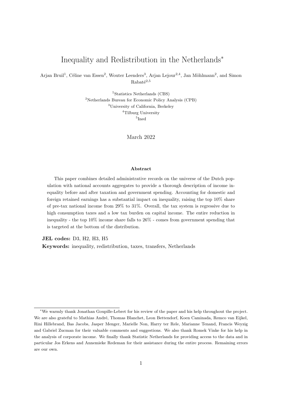## <span id="page-1-0"></span>Inequality and Redistribution in the Netherlands<sup>∗</sup>

Arjan Bruil<sup>1</sup>, Céline van Essen<sup>2</sup>, Wouter Leenders<sup>3</sup>, Arjan Lejour<sup>2,4</sup>, Jan Möhlmann<sup>2</sup>, and Simon  $\rm Rabat\acute{e}^{2,5}$ 

> <sup>1</sup>Statistics Netherlands (CBS) <sup>2</sup>Netherlands Bureau for Economic Policy Analysis (CPB) <sup>3</sup>University of California, Berkeley <sup>4</sup>Tilburg University 5 Ined

> > March 2022

## Abstract

This paper combines detailed administrative records on the universe of the Dutch population with national accounts aggregates to provide a thorough description of income inequality before and after taxation and government spending. Accounting for domestic and foreign retained earnings has a substantial impact on inequality, raising the top 10% share of pre-tax national income from 29% to 31%. Overall, the tax system is regressive due to high consumption taxes and a low tax burden on capital income. The entire reduction in inequality - the top 10% income share falls to 26% - comes from government spending that is targeted at the bottom of the distribution.

JEL codes: D3, H2, H3, H5

Keywords: inequality, redistribution, taxes, transfers, Netherlands

<sup>∗</sup>We warmly thank Jonathan Goupille-Lebret for his review of the paper and his help throughout the project. We are also grateful to Mathias André, Thomas Blanchet, Leon Bettendorf, Koen Caminada, Remco van Eijkel, Rini Hillebrand, Bas Jacobs, Jasper Menger, Marielle Non, Harry ter Rele, Marianne Tenand, Francis Weyzig and Gabriel Zucman for their valuable comments and suggestions. We also thank Romek Vinke for his help in the analysis of corporate income. We finally thank Statistic Netherlands for providing access to the data and in particular Jos Erkens and Annemieke Redeman for their assistance during the entire process. Remaining errors are our own.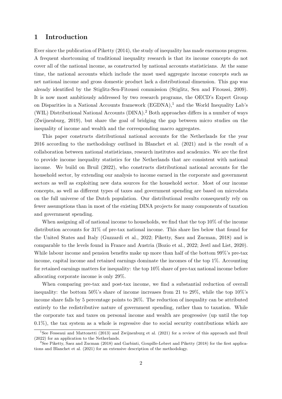## 1 Introduction

Ever since the publication of [Piketty](#page-34-0) [\(2014\)](#page-34-0), the study of inequality has made enormous progress. A frequent shortcoming of traditional inequality research is that its income concepts do not cover all of the national income, as constructed by national accounts statisticians. At the same time, the national accounts which include the most used aggregate income concepts such as net national income and gross domestic product lack a distributional dimension. This gap was already identified by the Stiglitz-Sen-Fitoussi commission [\(Stiglitz, Sen and Fitoussi, 2009\)](#page-35-0). It is now most ambitiously addressed by two research programs, the OECD's Expert Group on Disparities in a National Accounts framework  $(EGDNA)$ ,<sup>[1](#page-1-0)</sup> and the World Inequality Lab's (WIL) Distributional National Accounts (DINA).[2](#page-1-0) Both approaches differs in a number of ways [\(Zwijnenburg, 2019\)](#page-35-1), but share the goal of bridging the gap between micro studies on the inequality of income and wealth and the corresponding macro aggregates.

This paper constructs distributional national accounts for the Netherlands for the year 2016 according to the methodology outlined in [Blanchet et al.](#page-33-0) [\(2021\)](#page-33-0) and is the result of a collaboration between national statisticians, research institutes and academics. We are the first to provide income inequality statistics for the Netherlands that are consistent with national income. We build on [Bruil](#page-33-1) [\(2022\)](#page-33-1), who constructs distributional national accounts for the household sector, by extending our analysis to income earned in the corporate and government sectors as well as exploiting new data sources for the household sector. Most of our income concepts, as well as different types of taxes and government spending are based on microdata on the full universe of the Dutch population. Our distributional results consequently rely on fewer assumptions than in most of the existing DINA projects for many components of taxation and government spending.

When assigning all of national income to households, we find that the top 10% of the income distribution accounts for 31% of pre-tax national income. This share lies below that found for the United States and Italy [\(Guzzardi et al., 2022;](#page-34-1) [Piketty, Saez and Zucman, 2018\)](#page-35-2) and is comparable to the levels found in France and Austria [\(Bozio et al., 2022;](#page-33-2) [Jestl and List, 2020\)](#page-34-2). While labour income and pension benefits make up more than half of the bottom 99%'s pre-tax income, capital income and retained earnings dominate the incomes of the top 1%. Accounting for retained earnings matters for inequality: the top 10% share of pre-tax national income before allocating corporate income is only 29%.

When comparing pre-tax and post-tax income, we find a substantial reduction of overall inequality: the bottom 50%'s share of income increases from 21 to 29%, while the top 10%'s income share falls by 5 percentage points to 26%. The reduction of inequality can be attributed entirely to the redistributive nature of government spending, rather than to taxation. While the corporate tax and taxes on personal income and wealth are progressive (up until the top 0.1%), the tax system as a whole is regressive due to social security contributions which are

 $^{1}$ See [Fesseaui and Mattonetti](#page-34-3) [\(2013\)](#page-34-3) and [Zwijnenburg et al.](#page-35-3) [\(2021\)](#page-35-3) for a review of this approach and [Bruil](#page-33-1) [\(2022\)](#page-33-1) for an application to the Netherlands.

<sup>2</sup>See [Piketty, Saez and Zucman](#page-35-2) [\(2018\)](#page-35-2) and [Garbinti, Goupille-Lebret and Piketty](#page-34-4) [\(2018\)](#page-34-4) for the first applications and [Blanchet et al.](#page-33-0) [\(2021\)](#page-33-0) for an extensive description of the methodology.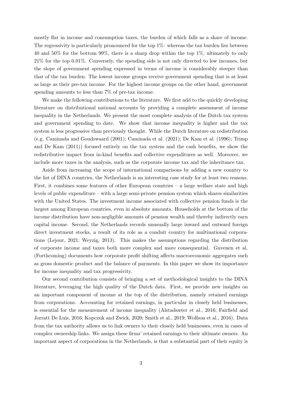mostly flat in income and consumption taxes, the burden of which falls as a share of income. The regressivity is particularly pronounced for the top 1%: whereas the tax burden lies between 40 and 50% for the bottom 99%, there is a sharp drop within the top 1%, ultimately to only 21% for the top 0.01%. Conversely, the spending side is not only directed to low incomes, but the slope of government spending expressed in terms of income is considerably steeper than that of the tax burden. The lowest income groups receive government spending that is at least as large as their pre-tax income. For the highest income groups on the other hand, government spending amounts to less than 7% of pre-tax income.

We make the following contributions to the literature. We first add to the quickly developing literature on distributional national accounts by providing a complete assessment of income inequality in the Netherlands. We present the most complete analysis of the Dutch tax system and government spending to date. We show that income inequality is higher and the tax system is less progressive than previously thought. While the Dutch literature on redistribution (e.g. [Caminada and Goudswaard](#page-33-3) [\(2001\)](#page-33-3); [Caminada et al.](#page-33-4) [\(2021\)](#page-33-4); [De Kam et al.](#page-33-5) [\(1996\)](#page-33-5); [Trimp](#page-35-4) [and De Kam](#page-35-4) [\(2011\)](#page-35-4)) focused entirely on the tax system and the cash benefits, we show the redistributive impact from in-kind benefits and collective expenditures as well. Moreover, we include more taxes in the analysis, such as the corporate income tax and the inheritance tax.

Aside from increasing the scope of international comparisons by adding a new country to the list of DINA countries, the Netherlands is an interesting case study for at least two reasons. First, it combines some features of other European countries  $-$  a large welfare state and high levels of public expenditure – with a large semi-private pension system which shares similarities with the United States. The investment income associated with collective pension funds is the largest among European countries, even in absolute amounts. Households at the bottom of the income distribution have non-negligible amounts of pension wealth and thereby indirectly earn capital income. Second, the Netherlands records unusually large inward and outward foreign direct investment stocks, a result of its role as a conduit country for multinational corporations [\(Lejour, 2021;](#page-34-5) [Weyzig, 2013\)](#page-35-5). This makes the assumptions regarding the distribution of corporate income and taxes both more complex and more consequential. [Guvenen et al.](#page-34-6) [\(Forthcoming\)](#page-34-6) documents how corporate profit shifting affects macroeconomic aggregates such as gross domestic product and the balance of payments. In this paper we show its importance for income inequality and tax progressivity.

Our second contribution consists of bringing a set of methodological insights to the DINA literature, leveraging the high quality of the Dutch data. First, we provide new insights on an important component of income at the top of the distribution, namely retained earnings from corporations. Accounting for retained earnings, in particular in closely held businesses, is essential for the measurement of income inequality [\(Alstadsæter et al., 2016;](#page-33-6) [Fairfield and](#page-34-7) [Jorratt De Luis, 2016;](#page-34-7) [Kopczuk and Zwick, 2020;](#page-34-8) [Smith et al., 2019;](#page-35-6) [Wolfson et al., 2016\)](#page-35-7). Data from the tax authority allows us to link owners to their closely held businesses, even in cases of complex ownership links. We assign these firms' retained earnings to their ultimate owners. An important aspect of corporations in the Netherlands, is that a substantial part of their equity is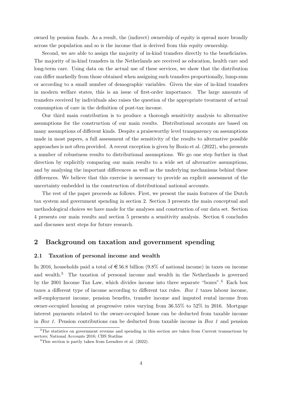owned by pension funds. As a result, the (indirect) ownership of equity is spread more broadly across the population and so is the income that is derived from this equity ownership.

Second, we are able to assign the majority of in-kind transfers directly to the beneficiaries. The majority of in-kind transfers in the Netherlands are received as education, health care and long-term care. Using data on the actual use of these services, we show that the distribution can differ markedly from those obtained when assigning such transfers proportionally, lump-sum or according to a small number of demographic variables. Given the size of in-kind transfers in modern welfare states, this is an issue of first-order importance. The large amounts of transfers received by individuals also raises the question of the appropriate treatment of actual consumption of care in the definition of post-tax income.

Our third main contribution is to produce a thorough sensitivity analysis to alternative assumptions for the construction of our main results. Distributional accounts are based on many assumptions of different kinds. Despite a praiseworthy level transparency on assumptions made in most papers, a full assessment of the sensitivity of the results to alternative possible approaches is not often provided. A recent exception is given by [Bozio et al.](#page-33-2) [\(2022\)](#page-33-2), who presents a number of robustness results to distributional assumptions. We go one step further in that direction by explicitly comparing our main results to a wide set of alternative assumptions, and by analysing the important differences as well as the underlying mechanisms behind these differences. We believe that this exercise is necessary to provide an explicit assessment of the uncertainty embedded in the construction of distributional national accounts.

The rest of the paper proceeds as follows. First, we present the main features of the Dutch tax system and government spending in section 2. Section 3 presents the main conceptual and methodological choices we have made for the analyses and construction of our data set. Section 4 presents our main results and section 5 presents a sensitivity analysis. Section 6 concludes and discusses next steps for future research.

## <span id="page-4-0"></span>2 Background on taxation and government spending

## 2.1 Taxation of personal income and wealth

In 2016, households paid a total of  $\epsilon$  56.8 billion (9.8% of national income) in taxes on income and wealth.[3](#page-1-0) The taxation of personal income and wealth in the Netherlands is governed by the 2001 Income Tax Law, which divides income into three separate "boxes".[4](#page-1-0) Each box taxes a different type of income according to different tax rules. Box 1 taxes labour income, self-employment income, pension benefits, transfer income and imputed rental income from owner-occupied housing at progressive rates varying from 36.55% to 52% in 2016. Mortgage interest payments related to the owner-occupied house can be deducted from taxable income in Box 1. Pension contributions can be deducted from taxable income in Box 1 and pension

<sup>&</sup>lt;sup>3</sup>The statistics on government revenue and spending in this section are taken from [Current transactions by](https://opendata.cbs.nl/statline/#/CBS/nl/dataset/84098NED/table?dl=64AE6) [sectors; National Accounts 2016; CBS Statline](https://opendata.cbs.nl/statline/#/CBS/nl/dataset/84098NED/table?dl=64AE6)

<sup>4</sup>This section is partly taken from [Leenders et al.](#page-34-9) [\(2022\)](#page-34-9).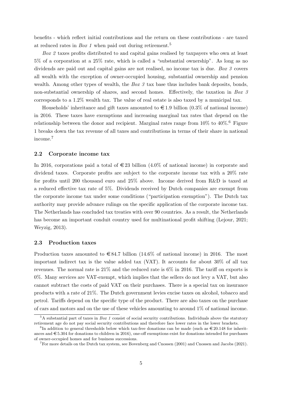benefits - which reflect initial contributions and the return on these contributions - are taxed at reduced rates in Box 1 when paid out during retirement.<sup>[5](#page-1-0)</sup>

Box 2 taxes profits distributed to and capital gains realised by taxpayers who own at least 5% of a corporation at a 25% rate, which is called a "substantial ownership". As long as no dividends are paid out and capital gains are not realised, no income tax is due. Box 3 covers all wealth with the exception of owner-occupied housing, substantial ownership and pension wealth. Among other types of wealth, the  $Box\ 3$  tax base thus includes bank deposits, bonds, non-substantial ownership of shares, and second homes. Effectively, the taxation in Box 3 corresponds to a 1.2% wealth tax. The value of real estate is also taxed by a municipal tax.

Households' inheritance and gift taxes amounted to  $\epsilon$  1.9 billion (0.3% of national income) in 2016. These taxes have exemptions and increasing marginal tax rates that depend on the relationship between the donor and recipient. Marginal rates range from  $10\%$  to  $40\%$ .<sup>[6](#page-1-0)</sup> Figure [1](#page-7-0) breaks down the tax revenue of all taxes and contributions in terms of their share in national income.[7](#page-1-0)

## 2.2 Corporate income tax

In 2016, corporations paid a total of  $\in$  23 billion (4.0% of national income) in corporate and dividend taxes. Corporate profits are subject to the corporate income tax with a 20% rate for profits until 200 thousand euro and 25% above. Income derived from R&D is taxed at a reduced effective tax rate of 5%. Dividends received by Dutch companies are exempt from the corporate income tax under some conditions ("participation exemption"). The Dutch tax authority may provide advance rulings on the specific application of the corporate income tax. The Netherlands has concluded tax treaties with over 90 countries. As a result, the Netherlands has become an important conduit country used for multinational profit shifting [\(Lejour, 2021;](#page-34-5) [Weyzig, 2013\)](#page-35-5).

## 2.3 Production taxes

Production taxes amounted to  $\in$  84.7 billion (14.6% of national income) in 2016. The most important indirect tax is the value added tax (VAT). It accounts for about 30% of all tax revenues. The normal rate is  $21\%$  and the reduced rate is  $6\%$  in 2016. The tariff on exports is 0%. Many services are VAT-exempt, which implies that the sellers do not levy a VAT, but also cannot subtract the costs of paid VAT on their purchases. There is a special tax on insurance products with a rate of 21%. The Dutch government levies excise taxes on alcohol, tobacco and petrol. Tariffs depend on the specific type of the product. There are also taxes on the purchase of cars and motors and on the use of these vehicles amounting to around 1% of national income.

 ${}^5A$  substantial part of taxes in Box 1 consist of social security contributions. Individuals above the statutory retirement age do not pay social security contributions and therefore face lower rates in the lower brackets.

 ${}^{6}$ In addition to general thresholds below which tax-free donations can be made (such as  $\in$  20.148 for inheritances and  $\epsilon$  5.304 for donations to children in 2016), one-off exemptions exist for donations intended for purchases of owner-occupied homes and for business successions.

 ${}^{7}$ For more details on the Dutch tax system, see [Bovenberg and Cnossen](#page-33-7) [\(2001\)](#page-33-7) and [Cnossen and Jacobs](#page-33-8) [\(2021\)](#page-33-8).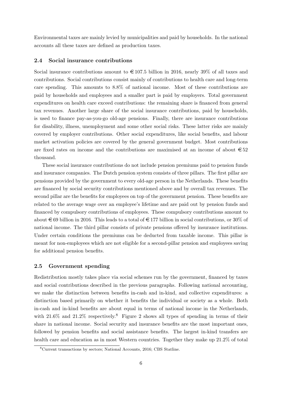Environmental taxes are mainly levied by municipalities and paid by households. In the national accounts all these taxes are defined as production taxes.

## 2.4 Social insurance contributions

Social insurance contributions amount to  $\in 107.5$  billion in 2016, nearly 39% of all taxes and contributions. Social contributions consist mainly of contributions to health care and long-term care spending. This amounts to 8.8% of national income. Most of these contributions are paid by households and employees and a smaller part is paid by employers. Total government expenditures on health care exceed contributions: the remaining share is financed from general tax revenues. Another large share of the social insurance contributions, paid by households, is used to finance pay-as-you-go old-age pensions. Finally, there are insurance contributions for disability, illness, unemployment and some other social risks. These latter risks are mainly covered by employer contributions. Other social expenditures, like social benefits, and labour market activation policies are covered by the general government budget. Most contributions are fixed rates on income and the contributions are maximised at an income of about  $\epsilon$ 52 thousand.

These social insurance contributions do not include pension premiums paid to pension funds and insurance companies. The Dutch pension system consists of three pillars. The first pillar are pensions provided by the government to every old-age person in the Netherlands. These benefits are financed by social security contributions mentioned above and by overall tax revenues. The second pillar are the benefits for employees on top of the government pension. These benefits are related to the average wage over an employee's lifetime and are paid out by pension funds and financed by compulsory contributions of employees. These compulsory contributions amount to about  $\in$  69 billion in 2016. This leads to a total of  $\in$  177 billion in social contributions, or 30% of national income. The third pillar consists of private pensions offered by insurance institutions. Under certain conditions the premiums can be deducted from taxable income. This pillar is meant for non-employees which are not eligible for a second-pillar pension and employees saving for additional pension benefits.

## 2.5 Government spending

Redistribution mostly takes place via social schemes run by the government, financed by taxes and social contributions described in the previous paragraphs. Following national accounting, we make the distinction between benefits in-cash and in-kind, and collective expenditures: a distinction based primarily on whether it benefits the individual or society as a whole. Both in-cash and in-kind benefits are about equal in terms of national income in the Netherlands, with  $21.6\%$  and  $21.2\%$  respectively.<sup>[8](#page-1-0)</sup> Figure [2](#page-7-1) shows all types of spending in terms of their share in national income. Social security and insurance benefits are the most important ones, followed by pension benefits and social assistance benefits. The largest in-kind transfers are health care and education as in most Western countries. Together they make up 21.2% of total

<sup>8</sup>[Current transactions by sectors; National Accounts, 2016; CBS Statline.](https://opendata.cbs.nl/#/CBS/en/dataset/84098ENG/table?dl=582AC)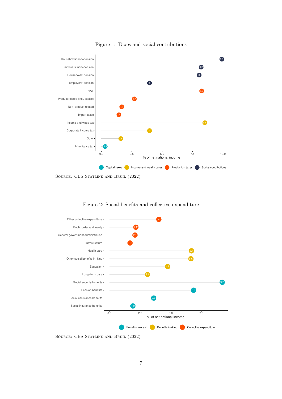<span id="page-7-0"></span>

Figure 1: Taxes and social contributions

<span id="page-7-1"></span>

Figure 2: Social benefits and collective expenditure

SOURCE: CBS STATLINE AND BRUIL [\(2022\)](#page-33-1)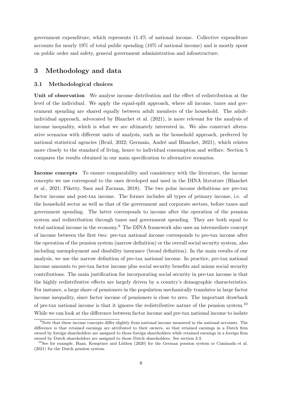government expenditure, which represents 11.4% of national income. Collective expenditure accounts for nearly 19% of total public spending (10% of national income) and is mostly spent on public order and safety, general government administration and infrastructure.

## 3 Methodology and data

## <span id="page-8-0"></span>3.1 Methodological choices

Unit of observation We analyse income distribution and the effect of redistribution at the level of the individual. We apply the equal-split approach, where all income, taxes and government spending are shared equally between adult members of the household. The adultindividual approach, advocated by [Blanchet et al.](#page-33-0) [\(2021\)](#page-33-0), is more relevant for the analysis of income inequality, which is what we are ultimately interested in. We also construct alternative scenarios with different units of analysis, such as the household approach, preferred by national statistical agencies [\(Bruil, 2022;](#page-33-1) Germain, André and Blanchet, 2021), which relates more closely to the standard of living, hence to individual consumption and welfare. Section [5](#page-26-0) compares the results obtained in our main specification to alternative scenarios.

Income concepts To ensure comparability and consistency with the literature, the income concepts we use correspond to the ones developed and used in the DINA literature [\(Blanchet](#page-33-0) [et al., 2021;](#page-33-0) [Piketty, Saez and Zucman, 2018\)](#page-35-2). The two polar income definitions are pre-tax factor income and post-tax income. The former includes all types of primary income, i.e. of the household sector as well as that of the government and corporate sectors, before taxes and government spending. The latter corresponds to income after the operation of the pension system and redistribution through taxes and government spending. They are both equal to total national income in the economy.<sup>[9](#page-1-0)</sup> The DINA framework also uses an intermediate concept of income between the first two: pre-tax national income corresponds to pre-tax income after the operation of the pension system (narrow definition) or the overall social security system, also including unemployment and disability insurance (broad definition). In the main results of our analysis, we use the narrow definition of pre-tax national income. In practice, pre-tax national income amounts to pre-tax factor income plus social security benefits and minus social security contributions. The main justification for incorporating social security in pre-tax income is that the highly redistributive effects are largely driven by a country's demographic characteristics. For instance, a large share of pensioners in the population mechanically translates in large factor income inequality, since factor income of pensioners is close to zero. The important drawback of pre-tax national income is that it ignores the redistributive nature of the pension system.[10](#page-1-0) While we can look at the difference between factor income and pre-tax national income to isolate

<sup>9</sup>Note that these income concepts differ slightly from national income measured in the national accounts. The difference is that retained earnings are attributed to their owners, so that retained earnings in a Dutch firm owned by foreign shareholders are assigned to those foreign shareholders while retained earnings in a foreign firm owned by Dutch shareholders are assigned to those Dutch shareholders. See section [3.3.](#page-11-0)

 $10$ See for example, Haan, Kemptner and Lüthen [\(2020\)](#page-34-11) for the German pension system or [Caminada et al.](#page-33-4) [\(2021\)](#page-33-4) for the Dutch pension system.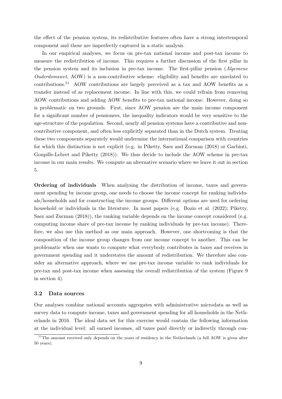the effect of the pension system, its redistributive features often have a strong intertemporal component and these are imperfectly captured in a static analysis.

In our empirical analyses, we focus on pre-tax national income and post-tax income to measure the redistribution of income. This requires a further discussion of the first pillar in the pension system and its inclusion in pre-tax income. The first-pillar pension (Algemene Ouderdomswet, AOW) is a non-contributive scheme: eligibility and benefits are unrelated to contributions.[11](#page-1-0) AOW contributions are largely perceived as a tax and AOW benefits as a transfer instead of as replacement income. In line with this, we could refrain from removing AOW contributions and adding AOW benefits to pre-tax national income. However, doing so is problematic on two grounds. First, since AOW pension are the main income component for a significant number of pensioners, the inequality indicators would be very sensitive to the age-structure of the population. Second, nearly all pension systems have a contributive and noncontributive component, and often less explicitly separated than in the Dutch system. Treating these two components separately would undermine the international comparison with countries for which this distinction is not explicit (e.g. in [Piketty, Saez and Zucman](#page-35-2) [\(2018\)](#page-35-2) or [Garbinti,](#page-34-4) [Goupille-Lebret and Piketty](#page-34-4) [\(2018\)](#page-34-4)). We thus decide to include the AOW scheme in pre-tax income in our main results. We compute an alternative scenario where we leave it out in section [5.](#page-26-0)

Ordering of individuals When analysing the distribution of income, taxes and government spending by income group, one needs to choose the income concept for ranking individuals/households and for constructing the income groups. Different options are used for ordering household or individuals in the literature. In most papers (e.g. [Bozio et al.](#page-33-2) [\(2022\)](#page-33-2); [Piketty,](#page-35-2) [Saez and Zucman](#page-35-2) [\(2018\)](#page-35-2)), the ranking variable depends on the income concept considered (e.g. computing income share of pre-tax income by ranking individuals by pre-tax income). Therefore, we also use this method as our main approach. However, one shortcoming is that the composition of the income group changes from one income concept to another. This can be problematic when one wants to compute what everybody contributes in taxes and receives in government spending and it understates the amount of redistribution. We therefore also consider an alternative approach, where we use pre-tax income variable to rank individuals for pre-tax and post-tax income when assessing the overall redistribution of the system (Figure [9](#page-25-0) in section [4\)](#page-15-0).

## 3.2 Data sources

Our analyses combine national accounts aggregates with administrative microdata as well as survey data to compute income, taxes and government spending for all households in the Netherlands in 2016. The ideal data set for this exercise would contain the following information at the individual level: all earned incomes, all taxes paid directly or indirectly through con-

 $11$ The amount received only depends on the years of residency in the Netherlands (a full AOW is given after 50 years).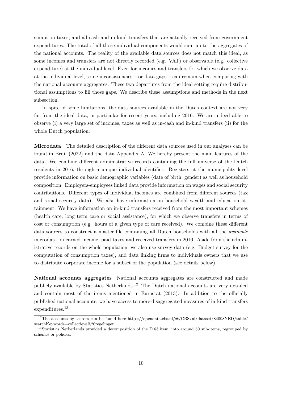sumption taxes, and all cash and in kind transfers that are actually received from government expenditures. The total of all those individual components would sum-up to the aggregates of the national accounts. The reality of the available data sources does not match this ideal, as some incomes and transfers are not directly recorded (e.g. VAT) or observable (e.g. collective expenditure) at the individual level. Even for incomes and transfers for which we observe data at the individual level, some inconsistencies – or data gaps – can remain when comparing with the national accounts aggregates. These two departures from the ideal setting require distributional assumptions to fill those gaps. We describe these assumptions and methods in the next subsection.

In spite of some limitations, the data sources available in the Dutch context are not very far from the ideal data, in particular for recent years, including 2016. We are indeed able to observe (i) a very large set of incomes, taxes as well as in-cash and in-kind transfers (ii) for the whole Dutch population.

Microdata The detailed description of the different data sources used in our analyses can be found in [Bruil](#page-33-1) [\(2022\)](#page-33-1) and the data Appendix [A.](#page-36-0) We hereby present the main features of the data. We combine different administrative records containing the full universe of the Dutch residents in 2016, through a unique individual identifier. Registers at the municipality level provide information on basic demographic variables (date of birth, gender) as well as household composition. Employers-employees linked data provide information on wages and social security contributions. Different types of individual incomes are combined from different sources (tax and social security data). We also have information on household wealth and education attainment. We have information on in-kind transfers received from the most important schemes (health care, long term care or social assistance), for which we observe transfers in terms of cost or consumption (e.g. hours of a given type of care received). We combine these different data sources to construct a master file containing all Dutch households with all the available microdata on earned income, paid taxes and received transfers in 2016. Aside from the administrative records on the whole population, we also use survey data (e.g. Budget survey for the computation of consumption taxes), and data linking firms to individuals owners that we use to distribute corporate income for a subset of the population (see details below).

National accounts aggregates National accounts aggregates are constructed and made publicly available by Statistics Netherlands.[12](#page-1-0) The Dutch national accounts are very detailed and contain most of the items mentioned in [Eurostat](#page-33-9) [\(2013\)](#page-33-9). In addition to the officially published national accounts, we have access to more disaggregated measures of in-kind transfers expenditures.<sup>[13](#page-1-0)</sup>

 $^{12}$  The accounts by sectors can be found here https://opendata.cbs.nl/ $\#$ /CBS/nl/dataset/84098NED/table? [searchKeywords=collectieve%20regelingen](https://opendata.cbs.nl/#/CBS/nl/dataset/84098NED/table?searchKeywords=collectieve%20regelingen)

<sup>&</sup>lt;sup>13</sup>Statistics Netherlands provided a decomposition of the D.63 item, into around 50 sub-items, regrouped by schemes or policies.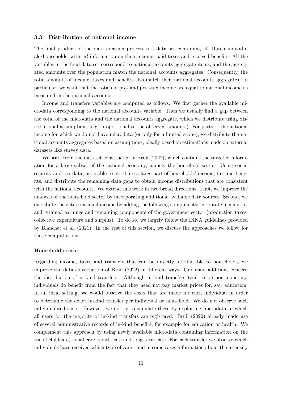## <span id="page-11-0"></span>3.3 Distribution of national income

The final product of the data creation process is a data set containing all Dutch individuals/households, with all information on their income, paid taxes and received benefits. All the variables in the final data set correspond to national accounts aggregate items, and the aggregated amounts over the population match the national accounts aggregates. Consequently, the total amounts of income, taxes and benefits also match their national accounts aggregates. In particular, we want that the totals of pre- and post-tax income are equal to national income as measured in the national accounts.

Income and transfers variables are computed as follows. We first gather the available microdata corresponding to the national accounts variable. Then we usually find a gap between the total of the microdata and the national accounts aggregate, which we distribute using distributional assumptions (e.g. proportional to the observed amounts). For parts of the national income for which we do not have microdata (or only for a limited scope), we distribute the national accounts aggregates based on assumptions, ideally based on estimations made on external datasets like survey data.

We start from the data set constructed in [Bruil](#page-33-1) [\(2022\)](#page-33-1), which contains the targeted information for a large subset of the national economy, namely the household sector. Using social security and tax data, he is able to attribute a large part of households' income, tax and benefits, and distribute the remaining data gaps to obtain income distributions that are consistent with the national accounts. We extend this work in two broad directions. First, we improve the analysis of the household sector by incorporating additional available data sources. Second, we distribute the entire national income by adding the following components: corporate income tax and retained earnings and remaining components of the government sector (production taxes, collective expenditure and surplus). To do so, we largely follow the DINA guidelines provided by [Blanchet et al.](#page-33-0) [\(2021\)](#page-33-0). In the rest of this section, we discuss the approaches we follow for those computations.

#### Household sector

Regarding income, taxes and transfers that can be directly attributable to households, we improve the data construction of [Bruil](#page-33-1) [\(2022\)](#page-33-1) in different ways. Our main additions concern the distribution of in-kind transfers. Although in-kind transfers tend to be non-monetary, individuals do benefit from the fact that they need not pay market prices for, say, education. In an ideal setting, we would observe the costs that are made for each individual in order to determine the exact in-kind transfer per individual or household. We do not observe such individualised costs. However, we do try to simulate these by exploiting microdata in which all users for the majority of in-kind transfers are registered. [Bruil](#page-33-1) [\(2022\)](#page-33-1) already made use of several administrative records of in-kind benefits, for example for education or health. We complement this approach by using newly available microdata containing information on the use of childcare, social care, youth care and long-term care. For each transfer we observe which individuals have received which type of care - and in some cases information about the intensity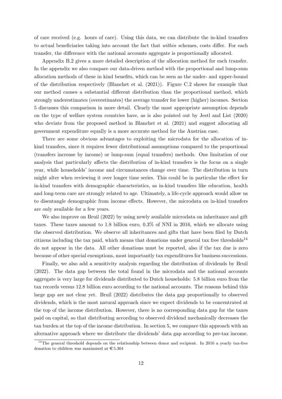of care received (e.g. hours of care). Using this data, we can distribute the in-kind transfers to actual beneficiaries taking into account the fact that within schemes, costs differ. For each transfer, the difference with the national accounts aggregate is proportionally allocated.

Appendix [B.2](#page-39-0) gives a more detailed description of the allocation method for each transfer. In the appendix we also compare our data-driven method with the proportional and lump-sum allocation methods of these in kind benefits, which can be seen as the under- and upper-bound of the distribution respectively [\(Blanchet et al.](#page-33-0) [\(2021\)](#page-33-0)). Figure [C.2](#page-46-0) shows for example that our method causes a substantial different distribution than the proportional method, which strongly underestimates (overestimates) the average transfer for lower (higher) incomes. Section [5](#page-26-0) discusses this comparison in more detail. Clearly the most appropriate assumption depends on the type of welfare system countries have, as is also pointed out by [Jestl and List](#page-34-2) [\(2020\)](#page-34-2) who deviate from the proposed method in [Blanchet et al.](#page-33-0) [\(2021\)](#page-33-0) and suggest allocating all government expenditure equally is a more accurate method for the Austrian case.

There are some obvious advantages to exploiting the microdata for the allocation of inkind transfers, since it requires fewer distributional assumptions compared to the proportional (transfers increase by income) or lump-sum (equal transfers) methods. One limitation of our analysis that particularly affects the distribution of in-kind transfers is the focus on a single year, while households' income and circumstances change over time. The distribution in turn might alter when reviewing it over longer time series. This could be in particular the effect for in-kind transfers with demographic characteristics, as in-kind transfers like education, health and long-term care are strongly related to age. Ultimately, a life-cycle approach would allow us to disentangle demographic from income effects. However, the microdata on in-kind transfers are only available for a few years.

We also improve on [Bruil](#page-33-1) [\(2022\)](#page-33-1) by using newly available microdata on inheritance and gift taxes. These taxes amount to 1.8 billion euro, 0.3% of NNI in 2016, which we allocate using the observed distribution. We observe all inheritances and gifts that have been filed by Dutch citizens including the tax paid, which means that donations under general tax free thresholds<sup>[14](#page-1-0)</sup> do not appear in the data. All other donations must be reported, also if the tax due is zero because of other special exemptions, most importantly tax expenditures for business successions.

Finally, we also add a sensitivity analysis regarding the distribution of dividends by [Bruil](#page-33-1) [\(2022\)](#page-33-1). The data gap between the total found in the microdata and the national accounts aggregate is very large for dividends distributed to Dutch households: 5.8 billion euro from the tax records versus 12.8 billion euro according to the national accounts. The reasons behind this large gap are not clear yet. [Bruil](#page-33-1) [\(2022\)](#page-33-1) distributes the data gap proportionally to observed dividends, which is the most natural approach since we expect dividends to be concentrated at the top of the income distribution. However, there is no corresponding data gap for the taxes paid on capital, so that distributing according to observed dividend mechanically decreases the tax burden at the top of the income distribution. In section [5,](#page-26-0) we compare this approach with an alternative approach where we distribute the dividends' data gap according to pre-tax income.

 $14$ The general threshold depends on the relationship between donor and recipient. In 2016 a yearly tax-free donation to children was maximised at  $\epsilon$ 5.304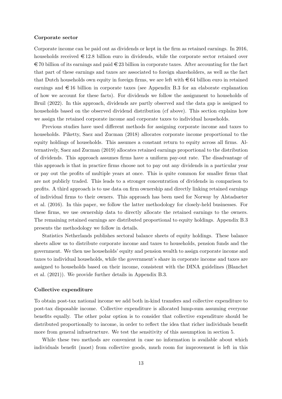#### Corporate sector

Corporate income can be paid out as dividends or kept in the firm as retained earnings. In 2016, households received  $\in$  12.8 billion euro in dividends, while the corporate sector retained over  $\epsilon$  70 billion of its earnings and paid  $\epsilon$  23 billion in corporate taxes. After accounting for the fact that part of these earnings and taxes are associated to foreign shareholders, as well as the fact that Dutch households own equity in foreign firms, we are left with  $\in 64$  billion euro in retained earnings and  $\epsilon$  16 billion in corporate taxes (see Appendix [B.3](#page-41-0) for an elaborate explanation of how we account for these facts). For dividends we follow the assignment to households of [Bruil](#page-33-1) [\(2022\)](#page-33-1). In this approach, dividends are partly observed and the data gap is assigned to households based on the observed dividend distribution (cf above). This section explains how we assign the retained corporate income and corporate taxes to individual households.

Previous studies have used different methods for assigning corporate income and taxes to households. [Piketty, Saez and Zucman](#page-35-2) [\(2018\)](#page-35-2) allocates corporate income proportional to the equity holdings of households. This assumes a constant return to equity across all firms. Alternatively, [Saez and Zucman](#page-35-8) [\(2019\)](#page-35-8) allocates retained earnings proportional to the distribution of dividends. This approach assumes firms have a uniform pay-out rate. The disadvantage of this approach is that in practice firms choose not to pay out any dividends in a particular year or pay out the profits of multiple years at once. This is quite common for smaller firms that are not publicly traded. This leads to a stronger concentration of dividends in comparison to profits. A third approach is to use data on firm ownership and directly linking retained earnings of individual firms to their owners. This approach has been used for Norway by [Alstadsæter](#page-33-6) [et al.](#page-33-6) [\(2016\)](#page-33-6). In this paper, we follow the latter methodology for closely-held businesses. For these firms, we use ownership data to directly allocate the retained earnings to the owners. The remaining retained earnings are distributed proportional to equity holdings. Appendix [B.3](#page-41-0) presents the methodology we follow in details.

Statistics Netherlands publishes sectoral balance sheets of equity holdings. These balance sheets allow us to distribute corporate income and taxes to households, pension funds and the government. We then use households' equity and pension wealth to assign corporate income and taxes to individual households, while the government's share in corporate income and taxes are assigned to households based on their income, consistent with the DINA guidelines [\(Blanchet](#page-33-0) [et al.](#page-33-0) [\(2021\)](#page-33-0)). We provide further details in Appendix [B.3.](#page-41-0)

#### Collective expenditure

To obtain post-tax national income we add both in-kind transfers and collective expenditure to post-tax disposable income. Collective expenditure is allocated lump-sum assuming everyone benefits equally. The other polar option is to consider that collective expenditure should be distributed proportionally to income, in order to reflect the idea that richer individuals benefit more from general infrastructure. We test the sensitivity of this assumption in section [5.](#page-26-0)

While these two methods are convenient in case no information is available about which individuals benefit (most) from collective goods, much room for improvement is left in this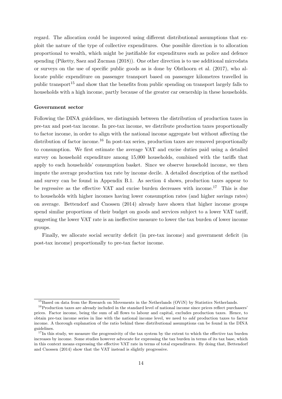regard. The allocation could be improved using different distributional assumptions that exploit the nature of the type of collective expenditures. One possible direction is to allocation proportional to wealth, which might be justifiable for expenditures such as police and defence spending [\(Piketty, Saez and Zucman](#page-35-2) [\(2018\)](#page-35-2)). One other direction is to use additional microdata or surveys on the use of specific public goods as is done by [Olsthoorn et al.](#page-34-12) [\(2017\)](#page-34-12), who allocate public expenditure on passenger transport based on passenger kilometres travelled in public transport<sup>[15](#page-1-0)</sup> and show that the benefits from public spending on transport largely falls to households with a high income, partly because of the greater car ownership in these households.

#### Government sector

Following the DINA guidelines, we distinguish between the distribution of production taxes in pre-tax and post-tax income. In pre-tax income, we distribute production taxes proportionally to factor income, in order to align with the national income aggregate but without affecting the distribution of factor income.<sup>[16](#page-1-0)</sup> In post-tax series, production taxes are removed proportionally to consumption. We first estimate the average VAT and excise duties paid using a detailed survey on household expenditure among 15,000 households, combined with the tariffs that apply to each households' consumption basket. Since we observe household income, we then impute the average production tax rate by income decile. A detailed description of the method and survey can be found in Appendix [B.1.](#page-38-0) As section [4](#page-15-0) shows, production taxes appear to be regressive as the effective VAT and excise burden decreases with income.[17](#page-1-0) This is due to households with higher incomes having lower consumption rates (and higher savings rates) on average. [Bettendorf and Cnossen](#page-33-10) [\(2014\)](#page-33-10) already have shown that higher income groups spend similar proportions of their budget on goods and services subject to a lower VAT tariff, suggesting the lower VAT rate is an ineffective measure to lower the tax burden of lower income groups.

Finally, we allocate social security deficit (in pre-tax income) and government deficit (in post-tax income) proportionally to pre-tax factor income.

 $^{15}\rm{Based}$  on data from the Research on Movements in the Netherlands (OViN) by Statistics Netherlands.

 $16P$ roduction taxes are already included in the standard level of national income since prices reflect purchasers' prices. Factor income, being the sum of all flows to labour and capital, excludes production taxes. Hence, to obtain pre-tax income series in line with the national income level, we need to add production taxes to factor income. A thorough explanation of the ratio behind these distributional assumptions can be found in the DINA guidelines.

<sup>&</sup>lt;sup>17</sup>In this study, we measure the progressivity of the tax system by the extent to which the effective tax burden increases by income. Some studies however advocate for expressing the tax burden in terms of its tax base, which in this context means expressing the effective VAT rate in terms of total expenditures. By doing that, [Bettendorf](#page-33-10) [and Cnossen](#page-33-10) [\(2014\)](#page-33-10) show that the VAT instead is slightly progressive.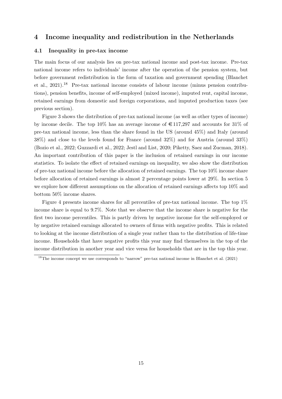## <span id="page-15-0"></span>4 Income inequality and redistribution in the Netherlands

## 4.1 Inequality in pre-tax income

The main focus of our analysis lies on pre-tax national income and post-tax income. Pre-tax national income refers to individuals' income after the operation of the pension system, but before government redistribution in the form of taxation and government spending [\(Blanchet](#page-33-0) [et al., 2021\)](#page-33-0).[18](#page-1-0) Pre-tax national income consists of labour income (minus pension contributions), pension benefits, income of self-employed (mixed income), imputed rent, capital income, retained earnings from domestic and foreign corporations, and imputed production taxes (see previous section).

Figure [3](#page-16-0) shows the distribution of pre-tax national income (as well as other types of income) by income decile. The top 10% has an average income of  $\epsilon$  117,297 and accounts for 31% of pre-tax national income, less than the share found in the US (around 45%) and Italy (around 38%) and close to the levels found for France (around 32%) and for Austria (around 33%) [\(Bozio et al., 2022;](#page-33-2) [Guzzardi et al., 2022;](#page-34-1) [Jestl and List, 2020;](#page-34-2) [Piketty, Saez and Zucman, 2018\)](#page-35-2). An important contribution of this paper is the inclusion of retained earnings in our income statistics. To isolate the effect of retained earnings on inequality, we also show the distribution of pre-tax national income before the allocation of retained earnings. The top 10% income share before allocation of retained earnings is almost 2 percentage points lower at 29%. In section [5](#page-26-0) we explore how different assumptions on the allocation of retained earnings affects top 10% and bottom 50% income shares.

Figure [4](#page-17-0) presents income shares for all percentiles of pre-tax national income. The top 1% income share is equal to 9.7%. Note that we observe that the income share is negative for the first two income percentiles. This is partly driven by negative income for the self-employed or by negative retained earnings allocated to owners of firms with negative profits. This is related to looking at the income distribution of a single year rather than to the distribution of life-time income. Households that have negative profits this year may find themselves in the top of the income distribution in another year and vice versa for households that are in the top this year.

<sup>&</sup>lt;sup>18</sup>The income concept we use corresponds to "narrow" pre-tax national income in [Blanchet et al.](#page-33-0) [\(2021\)](#page-33-0)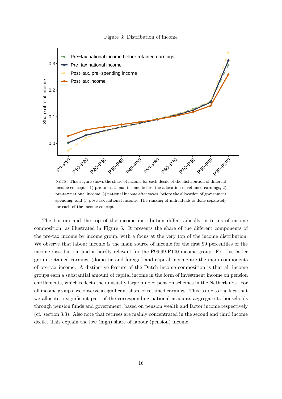#### Figure 3: Distribution of income

<span id="page-16-0"></span>

NOTE: This Figure shows the share of income for each decile of the distribution of different income concepts: 1) pre-tax national income before the allocation of retained earnings, 2) pre-tax national income, 3) national income after taxes, before the allocation of government spending, and 4) post-tax national income. The ranking of individuals is done separately for each of the income concepts.

The bottom and the top of the income distribution differ radically in terms of income composition, as illustrated in Figure [5.](#page-17-1) It presents the share of the different components of the pre-tax income by income group, with a focus at the very top of the income distribution. We observe that labour income is the main source of income for the first 99 percentiles of the income distribution, and is hardly relevant for the P99.99-P100 income group. For this latter group, retained earnings (domestic and foreign) and capital income are the main components of pre-tax income. A distinctive feature of the Dutch income composition is that all income groups earn a substantial amount of capital income in the form of investment income on pension entitlements, which reflects the unusually large funded pension schemes in the Netherlands. For all income groups, we observe a significant share of retained earnings. This is due to the fact that we allocate a significant part of the corresponding national accounts aggregate to households through pension funds and government, based on pension wealth and factor income respectively (cf. section [3.3\)](#page-11-0). Also note that retirees are mainly concentrated in the second and third income decile. This explain the low (high) share of labour (pension) income.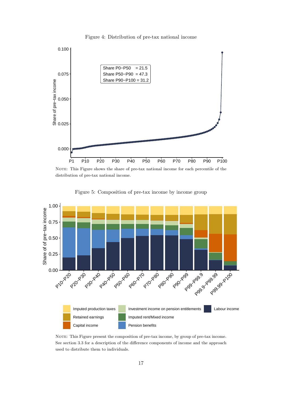

<span id="page-17-0"></span>

NOTE: This Figure shows the share of pre-tax national income for each percentile of the distribution of pre-tax national income.

<span id="page-17-1"></span>

Figure 5: Composition of pre-tax income by income group

NOTE: This Figure present the composition of pre-tax income, by group of pre-tax income. See section [3.3](#page-11-0) for a description of the difference components of income and the approach used to distribute them to individuals.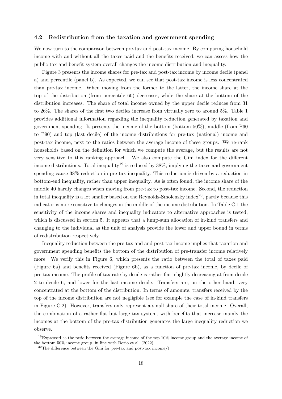## 4.2 Redistribution from the taxation and government spending

We now turn to the comparison between pre-tax and post-tax income. By comparing household income with and without all the taxes paid and the benefits received, we can assess how the public tax and benefit system overall changes the income distribution and inequality.

Figure [3](#page-16-0) presents the income shares for pre-tax and post-tax income by income decile (panel a) and percentile (panel b). As expected, we can see that post-tax income is less concentrated than pre-tax income. When moving from the former to the latter, the income share at the top of the distribution (from percentile 60) decreases, while the share at the bottom of the distribution increases. The share of total income owned by the upper decile reduces from 31 to 26%. The shares of the first two deciles increase from virtually zero to around 5%. Table [1](#page-19-0) provides additional information regarding the inequality reduction generated by taxation and government spending. It presents the income of the bottom (bottom 50%), middle (from P60 to P90) and top (last decile) of the income distributions for pre-tax (national) income and post-tax income, next to the ratios between the average income of these groups. We re-rank households based on the definition for which we compute the average, but the results are not very sensitive to this ranking approach. We also compute the Gini index for the different income distributions. Total inequality<sup>[19](#page-1-0)</sup> is reduced by  $38\%$ , implying the taxes and government spending cause 38% reduction in pre-tax inequality. This reduction is driven by a reduction in bottom-end inequality, rather than upper inequality. As is often found, the income share of the middle 40 hardly changes when moving from pre-tax to post-tax income. Second, the reduction in total inequality is a lot smaller based on the Reynolds-Smolensky index<sup>[20](#page-1-0)</sup>, partly because this indicator is more sensitive to changes in the middle of the income distribution. In Table [C.1](#page-47-0) the sensitivity of the income shares and inequality indicators to alternative approaches is tested, which is discussed in section [5.](#page-26-0) It appears that a lump-sum allocation of in-kind transfers and changing to the individual as the unit of analysis provide the lower and upper bound in terms of redistribution respectively.

Inequality reduction between the pre-tax and and post-tax income implies that taxation and government spending benefits the bottom of the distribution of pre-transfer income relatively more. We verify this in Figure [6,](#page-20-0) which presents the ratio between the total of taxes paid (Figure [6a\)](#page-20-0) and benefits received (Figure [6b\)](#page-20-0), as a function of pre-tax income, by decile of pre-tax income. The profile of tax rate by decile is rather flat, slightly decreasing at from decile 2 to decile 6, and lower for the last income decile. Transfers are, on the other hand, very concentrated at the bottom of the distribution. In terms of amounts, transfers received by the top of the income distribution are not negligible (see for example the case of in-kind transfers in Figure [C.2\)](#page-46-0). However, transfers only represent a small share of their total income. Overall, the combination of a rather flat but large tax system, with benefits that increase mainly the incomes at the bottom of the pre-tax distribution generates the large inequality reduction we observe.

 $19$ Expressed as the ratio between the average income of the top  $10\%$  income group and the average income of the bottom 50% income group, in line with [Bozio et al.](#page-33-2) [\(2022\)](#page-33-2).

<sup>&</sup>lt;sup>20</sup>The difference between the Gini for pre-tax and post-tax income/)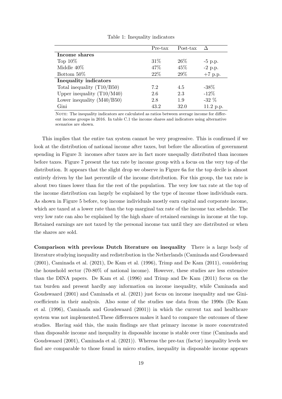<span id="page-19-0"></span>

|                              | Pre-tax | Post-tax |           |
|------------------------------|---------|----------|-----------|
| Income shares                |         |          |           |
| Top $10\%$                   | 31\%    | 26\%     | $-5$ p.p. |
| Middle $40\%$                | 47%     | 45\%     | $-2$ p.p. |
| Bottom 50%                   | 22\%    | 29%      | $+7$ p.p. |
| <b>Inequality indicators</b> |         |          |           |
| Total inequality $(T10/B50)$ | 7.2     | 4.5      | $-38\%$   |
| Upper inequality $(T10/M40)$ | 2.6     | 2.3      | $-12\%$   |
| Lower inequality $(M40/B50)$ | 2.8     | 1.9      | $-32\%$   |
| Gini                         | 43.2    | 32.0     | 11.2 p.p. |

Table 1: Inequality indicators

NOTE: The inequality indicators are calculated as ratios between average income for different income groups in 2016. In table [C.1](#page-47-0) the income shares and indicators using alternative scenarios are shown.

This implies that the entire tax system cannot be very progressive. This is confirmed if we look at the distribution of national income after taxes, but before the allocation of government spending in Figure [3:](#page-16-0) incomes after taxes are in fact more unequally distributed than incomes before taxes. Figure [7](#page-24-0) present the tax rate by income group with a focus on the very top of the distribution. It appears that the slight drop we observe in Figure [6a](#page-20-0) for the top decile is almost entirely driven by the last percentile of the income distribution. For this group, the tax rate is about two times lower than for the rest of the population. The very low tax rate at the top of the income distribution can largely be explained by the type of income those individuals earn. As shown in Figure [5](#page-17-1) before, top income individuals mostly earn capital and corporate income, which are taxed at a lower rate than the top marginal tax rate of the income tax schedule. The very low rate can also be explained by the high share of retained earnings in income at the top. Retained earnings are not taxed by the personal income tax until they are distributed or when the shares are sold.

Comparison with previous Dutch literature on inequality There is a large body of literature studying inequality and redistribution in the Netherlands [\(Caminada and Goudswaard](#page-33-3) [\(2001\)](#page-33-3), [Caminada et al.](#page-33-4) [\(2021\)](#page-33-4), [De Kam et al.](#page-33-5) [\(1996\)](#page-33-5), [Trimp and De Kam](#page-35-4) [\(2011\)](#page-35-4), considering the household sector (70-80% of national income). However, these studies are less extensive than the DINA papers. [De Kam et al.](#page-33-5) [\(1996\)](#page-33-5) and [Trimp and De Kam](#page-35-4) [\(2011\)](#page-35-4) focus on the tax burden and present hardly any information on income inequality, while [Caminada and](#page-33-3) [Goudswaard](#page-33-3) [\(2001\)](#page-33-3) and [Caminada et al.](#page-33-4) [\(2021\)](#page-33-4) just focus on income inequality and use Ginicoefficients in their analysis. Also some of the studies use data from the 1990s [\(De Kam](#page-33-5) [et al.](#page-33-5) [\(1996\)](#page-33-5), [Caminada and Goudswaard](#page-33-3) [\(2001\)](#page-33-3)) in which the current tax and healthcare system was not implemented.These differences makes it hard to compare the outcomes of these studies. Having said this, the main findings are that primary income is more concentrated than disposable income and inequality in disposable income is stable over time [\(Caminada and](#page-33-3) [Goudswaard](#page-33-3) [\(2001\)](#page-33-3), [Caminada et al.](#page-33-4) [\(2021\)](#page-33-4)). Whereas the pre-tax (factor) inequality levels we find are comparable to those found in micro studies, inequality in disposable income appears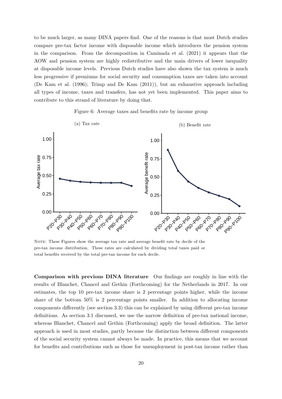to be much larger, as many DINA papers find. One of the reasons is that most Dutch studies compare pre-tax factor income with disposable income which introduces the pension system in the comparison. From the decomposition in [Caminada et al.](#page-33-4) [\(2021\)](#page-33-4) it appears that the AOW and pension system are highly redistributive and the main drivers of lower inequality at disposable income levels. Previous Dutch studies have also shown the tax system is much less progressive if premiums for social security and consumption taxes are taken into account [\(De Kam et al.](#page-33-5) [\(1996\)](#page-33-5); [Trimp and De Kam](#page-35-4) [\(2011\)](#page-35-4)), but an exhaustive approach including all types of income, taxes and transfers, has not yet been implemented. This paper aims to contribute to this strand of literature by doing that.



<span id="page-20-0"></span>

NOTE: These Figures show the average tax rate and average benefit rate by decile of the pre-tax income distribution. These rates are calculated by dividing total taxes paid or total benefits received by the total pre-tax income for each decile.

Comparison with previous DINA literature Our findings are roughly in line with the results of [Blanchet, Chancel and Gethin](#page-33-11) [\(Forthcoming\)](#page-33-11) for the Netherlands in 2017. In our estimates, the top 10 pre-tax income share is 2 percentage points higher, while the income share of the bottom  $50\%$  is 2 percentage points smaller. In addition to allocating income components differently (see section [3.3\)](#page-11-0) this can be explained by using different pre-tax income definitions. As section [3.1](#page-8-0) discussed, we use the narrow definition of pre-tax national income, whereas [Blanchet, Chancel and Gethin](#page-33-11) [\(Forthcoming\)](#page-33-11) apply the broad definition. The latter approach is used in most studies, partly because the distinction between different components of the social security system cannot always be made. In practice, this means that we account for benefits and contributions such as those for unemployment in post-tax income rather than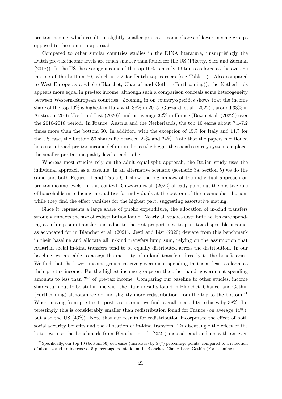pre-tax income, which results in slightly smaller pre-tax income shares of lower income groups opposed to the common approach.

Compared to other similar countries studies in the DINA literature, unsurprisingly the Dutch pre-tax income levels are much smaller than found for the US [\(Piketty, Saez and Zucman](#page-35-2) [\(2018\)](#page-35-2)). In the US the average income of the top 10% is nearly 16 times as large as the average income of the bottom 50, which is 7.2 for Dutch top earners (see Table [1\)](#page-19-0). Also compared to West-Europe as a whole [\(Blanchet, Chancel and Gethin](#page-33-11) [\(Forthcoming\)](#page-33-11)), the Netherlands appears more equal in pre-tax income, although such a comparison conceals some heterogeneity between Western-European countries. Zooming in on country-specifics shows that the income share of the top 10% is highest in Italy with 38% in 2015 [\(Guzzardi et al.](#page-34-1) [\(2022\)](#page-34-1)), around 33% in Austria in 2016 [\(Jestl and List](#page-34-2) [\(2020\)](#page-34-2)) and on average 32% in France [\(Bozio et al.](#page-33-2) [\(2022\)](#page-33-2)) over the 2010-2018 period. In France, Austria and the Netherlands, the top 10 earns about 7.1-7.2 times more than the bottom 50. In addition, with the exception of 15% for Italy and 14% for the US case, the bottom 50 shares lie between 22% and 24%. Note that the papers mentioned here use a broad pre-tax income definition, hence the bigger the social security systems in place, the smaller pre-tax inequality levels tend to be.

Whereas most studies rely on the adult equal-split approach, the Italian study uses the individual approach as a baseline. In an alternative scenario (scenario 3a, section [5\)](#page-26-0) we do the same and both Figure [11](#page-28-0) and Table [C.1](#page-47-0) show the big impact of the individual approach on pre-tax income levels. In this context, [Guzzardi et al.](#page-34-1) [\(2022\)](#page-34-1) already point out the positive role of households in reducing inequalities for individuals at the bottom of the income distribution, while they find the effect vanishes for the highest part, suggesting assortative mating.

Since it represents a large share of public expenditure, the allocation of in-kind transfers strongly impacts the size of redistribution found. Nearly all studies distribute health care spending as a lump sum transfer and allocate the rest proportional to post-tax disposable income, as advocated for in [Blanchet et al.](#page-33-0) [\(2021\)](#page-33-0). [Jestl and List](#page-34-2) [\(2020\)](#page-34-2) deviate from this benchmark in their baseline and allocate all in-kind transfers lump sum, relying on the assumption that Austrian social in-kind transfers tend to be equally distributed across the distribution. In our baseline, we are able to assign the majority of in-kind transfers directly to the beneficiaries. We find that the lowest income groups receive government spending that is at least as large as their pre-tax income. For the highest income groups on the other hand, government spending amounts to less than 7% of pre-tax income. Comparing our baseline to other studies, income shares turn out to be still in line with the Dutch results found in [Blanchet, Chancel and Gethin](#page-33-11) [\(Forthcoming\)](#page-33-11) although we do find slightly more redistribution from the top to the bottom.[21](#page-1-0) When moving from pre-tax to post-tax income, we find overall inequality reduces by 38%. Interestingly this is considerably smaller than redistribution found for France (on average 44%), but also the US (43%). Note that our results for redistribution incorporate the effect of both social security benefits and the allocation of in-kind transfers. To disentangle the effect of the latter we use the benchmark from [Blanchet et al.](#page-33-0) [\(2021\)](#page-33-0) instead, and end up with an even

<sup>&</sup>lt;sup>21</sup>Specifically, our top 10 (bottom 50) decreases (increases) by 5 (7) percentage points, compared to a reduction of about 4 and an increase of 5 percentage points found in [Blanchet, Chancel and Gethin](#page-33-11) [\(Forthcoming\)](#page-33-11).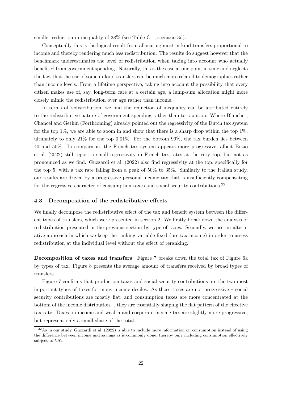smaller reduction in inequality of 28% (see Table [C.1,](#page-47-0) scenario 3d).

Conceptually this is the logical result from allocating most in-kind transfers proportional to income and thereby rendering much less redistribution. The results do suggest however that the benchmark underestimates the level of redistribution when taking into account who actually benefited from government spending. Naturally, this is the case at one point in time and neglects the fact that the use of some in-kind transfers can be much more related to demographics rather than income levels. From a lifetime perspective, taking into account the possibility that every citizen makes use of, say, long-term care at a certain age, a lump-sum allocation might more closely mimic the redistribution over age rather than income.

In terms of redistribution, we find the reduction of inequality can be attributed entirely to the redistributive nature of government spending rather than to taxation. Where [Blanchet,](#page-33-11) [Chancel and Gethin](#page-33-11) [\(Forthcoming\)](#page-33-11) already pointed out the regressivity of the Dutch tax system for the top  $1\%$ , we are able to zoom in and show that there is a sharp drop within the top  $1\%$ , ultimately to only 21% for the top 0.01%. For the bottom 99%, the tax burden lies between 40 and 50%. In comparison, the French tax system appears more progressive, albeit [Bozio](#page-33-2) [et al.](#page-33-2) [\(2022\)](#page-33-2) still report a small regressivity in French tax rates at the very top, but not as pronounced as we find. [Guzzardi et al.](#page-34-1) [\(2022\)](#page-34-1) also find regressivity at the top, specifically for the top 5, with a tax rate falling from a peak of 50% to 35%. Similarly to the Italian study, our results are driven by a progressive personal income tax that is insufficiently compensating for the regressive character of consumption taxes and social security contributions.<sup>[22](#page-1-0)</sup>

#### 4.3 Decomposition of the redistributive effects

We finally decompose the redistributive effect of the tax and benefit system between the different types of transfers, which were presented in section [2.](#page-4-0) We firstly break down the analysis of redistribution presented in the previous section by type of taxes. Secondly, we use an alternative approach in which we keep the ranking variable fixed (pre-tax income) in order to assess redistribution at the individual level without the effect of reranking.

Decomposition of taxes and transfers Figure [7](#page-24-0) breaks down the total tax of Figure [6a](#page-20-0) by types of tax. Figure [8](#page-24-1) presents the average amount of transfers received by broad types of transfers.

Figure [7](#page-24-0) confirms that production taxes and social security contributions are the two most important types of taxes for many income deciles. As those taxes are not progressive – social security contributions are mostly flat, and consumption taxes are more concentrated at the bottom of the income distribution –, they are essentially shaping the flat pattern of the effective tax rate. Taxes on income and wealth and corporate income tax are slightly more progressive, but represent only a small share of the total.

 $^{22}$ As in our study, [Guzzardi et al.](#page-34-1) [\(2022\)](#page-34-1) is able to include more information on consumption instead of using the difference between income and savings as is commonly done, thereby only including consumption effectively subject to VAT.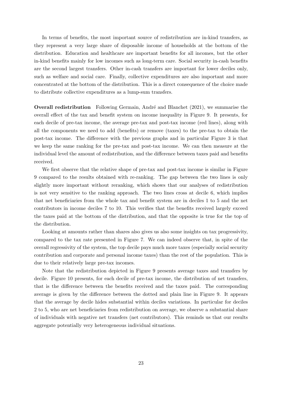In terms of benefits, the most important source of redistribution are in-kind transfers, as they represent a very large share of disposable income of households at the bottom of the distribution. Education and healthcare are important benefits for all incomes, but the other in-kind benefits mainly for low incomes such as long-term care. Social security in-cash benefits are the second largest transfers. Other in-cash transfers are important for lower deciles only, such as welfare and social care. Finally, collective expenditures are also important and more concentrated at the bottom of the distribution. This is a direct consequence of the choice made to distribute collective expenditures as a lump-sum transfers.

**Overall redistribution** Following Germain, André and Blanchet [\(2021\)](#page-34-10), we summarise the overall effect of the tax and benefit system on income inequality in Figure [9.](#page-25-0) It presents, for each decile of pre-tax income, the average pre-tax and post-tax income (red lines), along with all the components we need to add (benefits) or remove (taxes) to the pre-tax to obtain the post-tax income. The difference with the previous graphs and in particular Figure [3](#page-16-0) is that we keep the same ranking for the pre-tax and post-tax income. We can then measure at the individual level the amount of redistribution, and the difference between taxes paid and benefits received.

We first observe that the relative shape of pre-tax and post-tax income is similar in Figure [9](#page-25-0) compared to the results obtained with re-ranking. The gap between the two lines is only slightly more important without reranking, which shows that our analyses of redistribution is not very sensitive to the ranking approach. The two lines cross at decile 6, which implies that net beneficiaries from the whole tax and benefit system are in deciles 1 to 5 and the net contributors in income deciles 7 to 10. This verifies that the benefits received largely exceed the taxes paid at the bottom of the distribution, and that the opposite is true for the top of the distribution.

Looking at amounts rather than shares also gives us also some insights on tax progressivity, compared to the tax rate presented in Figure [7.](#page-24-0) We can indeed observe that, in spite of the overall regressivity of the system, the top decile pays much more taxes (especially social security contribution and corporate and personal income taxes) than the rest of the population. This is due to their relatively large pre-tax incomes.

Note that the redistribution depicted in Figure [9](#page-25-0) presents average taxes and transfers by decile. Figure [10](#page-25-1) presents, for each decile of pre-tax income, the distribution of net transfers, that is the difference between the benefits received and the taxes paid. The corresponding average is given by the difference between the dotted and plain line in Figure [9.](#page-25-0) It appears that the average by decile hides substantial within deciles variations. In particular for deciles 2 to 5, who are net beneficiaries from redistribution on average, we observe a substantial share of individuals with negative net transfers (net contributors). This reminds us that our results aggregate potentially very heterogeneous individual situations.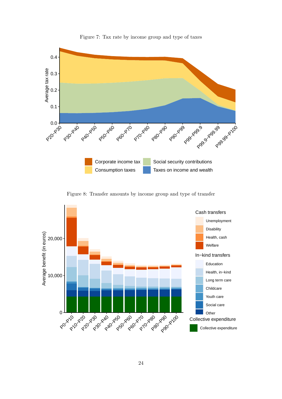<span id="page-24-0"></span>

Figure 7: Tax rate by income group and type of taxes

Figure 8: Transfer amounts by income group and type of transfer

<span id="page-24-1"></span>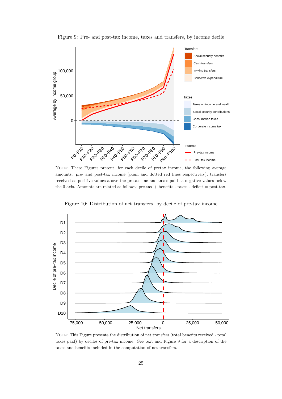<span id="page-25-0"></span>

Figure 9: Pre- and post-tax income, taxes and transfers, by income decile

NOTE: These Figures present, for each decile of pretax income, the following average amounts: pre- and post-tax income (plain and dotted red lines respectively), transfers received as positive values above the pretax line and taxes paid as negative values below the 0 axis. Amounts are related as follows: pre-tax + benefits - taxes - deficit = post-tax.

Figure 10: Distribution of net transfers, by decile of pre-tax income

<span id="page-25-1"></span>

NOTE: This Figure presents the distribution of net transfers (total benefits received - total taxes paid) by deciles of pre-tax income. See text and Figure [9](#page-25-0) for a description of the taxes and benefits included in the computation of net transfers.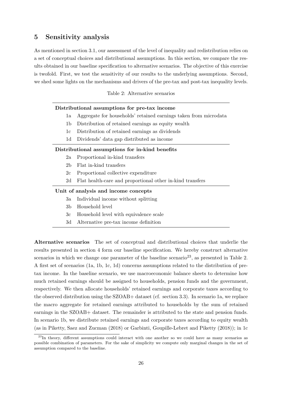## <span id="page-26-0"></span>5 Sensitivity analysis

As mentioned in section [3.1,](#page-8-0) our assessment of the level of inequality and redistribution relies on a set of conceptual choices and distributional assumptions. In this section, we compare the results obtained in our baseline specification to alternative scenarios. The objective of this exercise is twofold. First, we test the sensitivity of our results to the underlying assumptions. Second, we shed some lights on the mechanisms and drivers of the pre-tax and post-tax inequality levels.

## Table 2: Alternative scenarios

#### <span id="page-26-1"></span>Distributional assumptions for pre-tax income

- 1a Aggregate for households' retained earnings taken from microdata
- 1b Distribution of retained earnings as equity wealth
- 1c Distribution of retained earnings as dividends
- 1d Dividends' data gap distributed as income

#### Distributional assumptions for in-kind benefits

- 2a Proportional in-kind transfers
- 2b Flat in-kind transfers
- 2c Proportional collective expenditure
- 2d Flat health-care and proportional other in-kind transfers

#### Unit of analysis and income concepts

- 3a Individual income without splitting
- 3b Household level
- 3c Household level with equivalence scale
- 3d Alternative pre-tax income definition

Alternative scenarios The set of conceptual and distributional choices that underlie the results presented in section [4](#page-15-0) form our baseline specification. We hereby construct alternative scenarios in which we change one parameter of the baseline scenario<sup>[23](#page-1-0)</sup>, as presented in Table [2.](#page-26-1) A first set of scenarios (1a, 1b, 1c, 1d) concerns assumptions related to the distribution of pretax income. In the baseline scenario, we use macroeconomic balance sheets to determine how much retained earnings should be assigned to households, pension funds and the government, respectively. We then allocate households' retained earnings and corporate taxes according to the observed distribution using the SZOAB+ dataset (cf. section [3.3\)](#page-11-0). In scenario 1a, we replace the macro aggregate for retained earnings attributed to households by the sum of retained earnings in the SZOAB+ dataset. The remainder is attributed to the state and pension funds. In scenario 1b, we distribute retained earnings and corporate taxes according to equity wealth (as in [Piketty, Saez and Zucman](#page-35-2) [\(2018\)](#page-35-2) or [Garbinti, Goupille-Lebret and Piketty](#page-34-4) [\(2018\)](#page-34-4)); in 1c

 $^{23}$ In theory, different assumptions could interact with one another so we could have as many scenarios as possible combination of parameters. For the sake of simplicity we compute only marginal changes in the set of assumption compared to the baseline.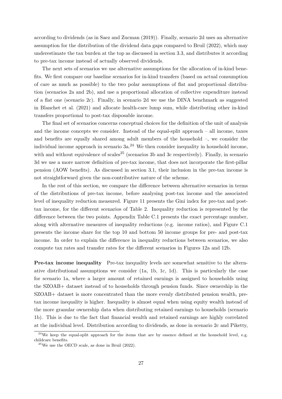according to dividends (as in [Saez and Zucman](#page-35-8) [\(2019\)](#page-35-8)). Finally, scenario 2d uses an alternative assumption for the distribution of the dividend data gaps compared to [Bruil](#page-33-1) [\(2022\)](#page-33-1), which may underestimate the tax burden at the top as discussed in section [3.3,](#page-11-0) and distributes it according to pre-tax income instead of actually observed dividends.

The next sets of scenarios we use alternative assumptions for the allocation of in-kind benefits. We first compare our baseline scenarios for in-kind transfers (based on actual consumption of care as much as possible) to the two polar assumptions of flat and proportional distribution (scenarios 2a and 2b), and use a proportional allocation of collective expenditure instead of a flat one (scenario 2c). Finally, in scenario 2d we use the DINA benchmark as suggested in [Blanchet et al.](#page-33-0) [\(2021\)](#page-33-0) and allocate health-care lump sum, while distributing other in-kind transfers proportional to post-tax disposable income.

The final set of scenarios concerns conceptual choices for the definition of the unit of analysis and the income concepts we consider. Instead of the equal-split approach – all income, taxes and benefits are equally shared among adult members of the household –, we consider the individual income approach in scenario  $3a^{24}$  $3a^{24}$  $3a^{24}$  We then consider inequality in household income, with and without equivalence of scales<sup>[25](#page-1-0)</sup> (scenarios 3b and 3c respectively). Finally, in scenario 3d we use a more narrow definition of pre-tax income, that does not incorporate the first-pillar pension (AOW benefits). As discussed in section [3.1,](#page-8-0) their inclusion in the pre-tax income is not straightforward given the non-contributive nature of the scheme.

In the rest of this section, we compare the difference between alternative scenarios in terms of the distributions of pre-tax income, before analysing post-tax income and the associated level of inequality reduction measured. Figure [11](#page-28-0) presents the Gini index for pre-tax and posttax income, for the different scenarios of Table [2.](#page-26-1) Inequality reduction is represented by the difference between the two points. Appendix Table [C.1](#page-47-0) presents the exact percentage number, along with alternative measures of inequality reductions (e.g. income ratios), and Figure [C.1](#page-45-0) presents the income share for the top 10 and bottom 50 income groups for pre- and post-tax income. In order to explain the difference in inequality reductions between scenarios, we also compute tax rates and transfer rates for the different scenarios in Figures [12a](#page-29-0) and [12b.](#page-29-0)

Pre-tax income inequality Pre-tax inequality levels are somewhat sensitive to the alternative distributional assumptions we consider (1a, 1b, 1c, 1d). This is particularly the case for scenario 1a, where a larger amount of retained earnings is assigned to households using the SZOAB+ dataset instead of to households through pension funds. Since ownership in the SZOAB+ dataset is more concentrated than the more evenly distributed pension wealth, pretax income inequality is higher. Inequality is almost equal when using equity wealth instead of the more granular ownership data when distributing retained earnings to households (scenario 1b). This is due to the fact that financial wealth and retained earnings are highly correlated at the individual level. Distribution according to dividends, as done in scenario 2c and [Piketty,](#page-35-2)

 $^{24}$ [We keep the equal-split approach for the items that are by essence defined at the household level, e.g.](#page-35-2) [childcare benefits.](#page-35-2)

 $25$ [We use the OECD scale, as done in Bruil \(2022\).](#page-35-2)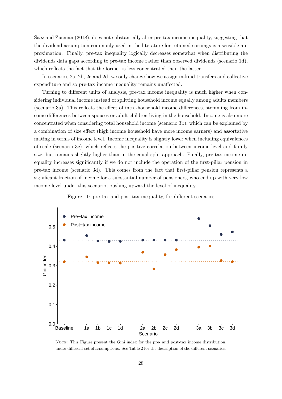[Saez and Zucman](#page-35-2) [\(2018\)](#page-35-2), does not substantially alter pre-tax income inequality, suggesting that the dividend assumption commonly used in the literature for retained earnings is a sensible approximation. Finally, pre-tax inequality logically decreases somewhat when distributing the dividends data gaps according to pre-tax income rather than observed dividends (scenario 1d), which reflects the fact that the former is less concentrated than the latter.

In scenarios 2a, 2b, 2c and 2d, we only change how we assign in-kind transfers and collective expenditure and so pre-tax income inequality remains unaffected.

Turning to different units of analysis, pre-tax income inequality is much higher when considering individual income instead of splitting household income equally among adults members (scenario 3a). This reflects the effect of intra-household income differences, stemming from income differences between spouses or adult children living in the household. Income is also more concentrated when considering total household income (scenario 3b), which can be explained by a combination of size effect (high income household have more income earners) and assortative mating in terms of income level. Income inequality is slightly lower when including equivalences of scale (scenario 3c), which reflects the positive correlation between income level and family size, but remains slightly higher than in the equal split approach. Finally, pre-tax income inequality increases significantly if we do not include the operation of the first-pillar pension in pre-tax income (scenario 3d). This comes from the fact that first-pillar pension represents a significant fraction of income for a substantial number of pensioners, who end up with very low income level under this scenario, pushing upward the level of inequality.

<span id="page-28-0"></span>

Figure 11: pre-tax and post-tax inequality, for different scenarios

NOTE: This Figure present the Gini index for the pre- and post-tax income distribution, under different set of assumptions. See Table [2](#page-26-1) for the description of the different scenarios.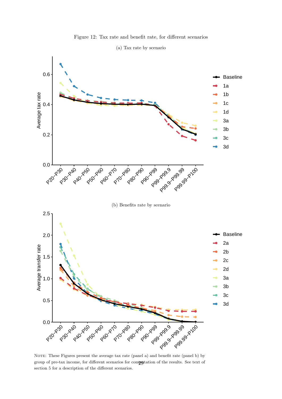

<span id="page-29-0"></span>

(a) Tax rate by scenario

NOTE: These Figures present the average tax rate (panel a) and benefit rate (panel b) by group of pre-tax income, for different scenarios for computation of the results. See text of section [5](#page-26-0) for a description of the different scenarios.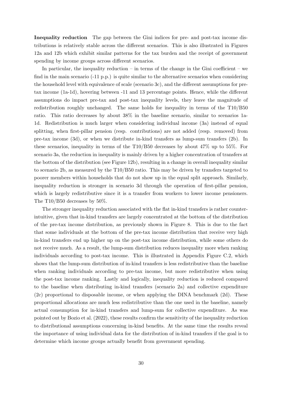Inequality reduction The gap between the Gini indices for pre- and post-tax income distributions is relatively stable across the different scenarios. This is also illustrated in Figures [12a](#page-29-0) and [12b](#page-29-0) which exhibit similar patterns for the tax burden and the receipt of government spending by income groups across different scenarios.

In particular, the inequality reduction – in terms of the change in the Gini coefficient – we find in the main scenario (-11 p.p.) is quite similar to the alternative scenarios when considering the household level with equivalence of scale (scenario 3c), and the different assumptions for pretax income (1a-1d), hovering between -11 and 13 percentage points. Hence, while the different assumptions do impact pre-tax and post-tax inequality levels, they leave the magnitude of redistribution roughly unchanged. The same holds for inequality in terms of the T10/B50 ratio. This ratio decreases by about 38% in the baseline scenario, similar to scenarios 1a-1d. Redistribution is much larger when considering individual income (3a) instead of equal splitting, when first-pillar pension (resp. contributions) are not added (resp. removed) from pre-tax income (3d), or when we distribute in-kind transfers as lump-sum transfers (2b). In these scenarios, inequality in terms of the T10/B50 decreases by about 47% up to 55%. For scenario 3a, the reduction in inequality is mainly driven by a higher concentration of transfers at the bottom of the distribution (see Figure [12b\)](#page-29-0), resulting in a change in overall inequality similar to scenario 2b, as measured by the T10/B50 ratio. This may be driven by transfers targeted to poorer members within households that do not show up in the equal split approach. Similarly, inequality reduction is stronger in scenario 3d through the operation of first-pillar pension, which is largely redistributive since it is a transfer from workers to lower income pensioners. The T10/B50 decreases by 50%.

The stronger inequality reduction associated with the flat in-kind transfers is rather counterintuitive, given that in-kind transfers are largely concentrated at the bottom of the distribution of the pre-tax income distribution, as previously shown in Figure [8.](#page-24-1) This is due to the fact that some individuals at the bottom of the pre-tax income distribution that receive very high in-kind transfers end up higher up on the post-tax income distribution, while some others do not receive much. As a result, the lump-sum distribution reduces inequality more when ranking individuals according to post-tax income. This is illustrated in Appendix Figure [C.2,](#page-46-0) which shows that the lump-sum distribution of in-kind transfers is less redistributive than the baseline when ranking individuals according to pre-tax income, but more redistributive when using the post-tax income ranking. Lastly and logically, inequality reduction is reduced compared to the baseline when distributing in-kind transfers (scenario 2a) and collective expenditure (2c) proportional to disposable income, or when applying the DINA benchmark (2d). These proportional allocations are much less redistributive than the one used in the baseline, namely actual consumption for in-kind transfers and lump-sum for collective expenditure. As was pointed out by [Bozio et al.](#page-33-2) [\(2022\)](#page-33-2), these results confirm the sensitivity of the inequality reduction to distributional assumptions concerning in-kind benefits. At the same time the results reveal the importance of using individual data for the distribution of in-kind transfers if the goal is to determine which income groups actually benefit from government spending.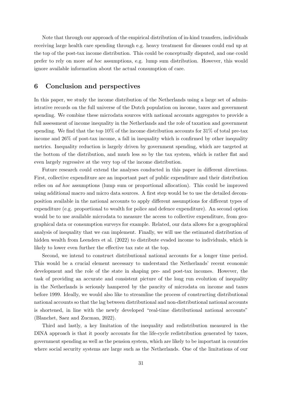Note that through our approach of the empirical distribution of in-kind transfers, individuals receiving large health care spending through e.g. heavy treatment for diseases could end up at the top of the post-tax income distribution. This could be conceptually disputed, and one could prefer to rely on more ad hoc assumptions, e.g. lump sum distribution. However, this would ignore available information about the actual consumption of care.

## 6 Conclusion and perspectives

In this paper, we study the income distribution of the Netherlands using a large set of administrative records on the full universe of the Dutch population on income, taxes and government spending. We combine these microdata sources with national accounts aggregates to provide a full assessment of income inequality in the Netherlands and the role of taxation and government spending. We find that the top 10% of the income distribution accounts for 31% of total pre-tax income and 26% of post-tax income, a fall in inequality which is confirmed by other inequality metrics. Inequality reduction is largely driven by government spending, which are targeted at the bottom of the distribution, and much less so by the tax system, which is rather flat and even largely regressive at the very top of the income distribution.

Future research could extend the analyses conducted in this paper in different directions. First, collective expenditure are an important part of public expenditure and their distribution relies on ad hoc assumptions (lump sum or proportional allocation). This could be improved using additional macro and micro data sources. A first step would be to use the detailed decomposition available in the national accounts to apply different assumptions for different types of expenditure (e.g. proportional to wealth for police and defence expenditure). An second option would be to use available microdata to measure the access to collective expenditure, from geographical data or consumption surveys for example. Related, our data allows for a geographical analysis of inequality that we can implement. Finally, we will use the estimated distribution of hidden wealth from [Leenders et al.](#page-34-9) [\(2022\)](#page-34-9) to distribute evaded income to individuals, which is likely to lower even further the effective tax rate at the top.

Second, we intend to construct distributional national accounts for a longer time period. This would be a crucial element necessary to understand the Netherlands' recent economic development and the role of the state in shaping pre- and post-tax incomes. However, the task of providing an accurate and consistent picture of the long run evolution of inequality in the Netherlands is seriously hampered by the paucity of microdata on income and taxes before 1999. Ideally, we would also like to streamline the process of constructing distributional national accounts so that the lag between distributional and non-distributional national accounts is shortened, in line with the newly developed "real-time distributional national accounts" [\(Blanchet, Saez and Zucman, 2022\)](#page-33-12).

Third and lastly, a key limitation of the inequality and redistribution measured in the DINA approach is that it poorly accounts for the life-cycle redistribution generated by taxes, government spending as well as the pension system, which are likely to be important in countries where social security systems are large such as the Netherlands. One of the limitations of our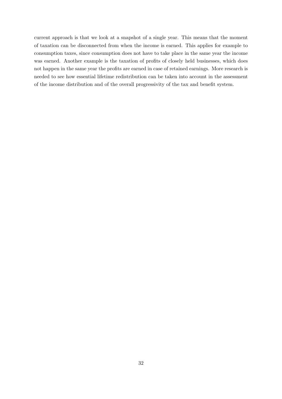current approach is that we look at a snapshot of a single year. This means that the moment of taxation can be disconnected from when the income is earned. This applies for example to consumption taxes, since consumption does not have to take place in the same year the income was earned. Another example is the taxation of profits of closely held businesses, which does not happen in the same year the profits are earned in case of retained earnings. More research is needed to see how essential lifetime redistribution can be taken into account in the assessment of the income distribution and of the overall progressivity of the tax and benefit system.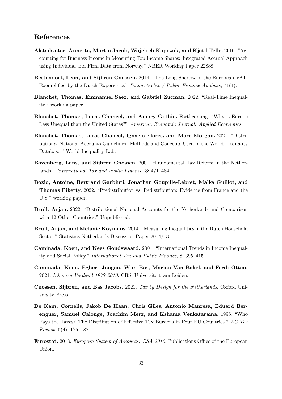## References

- <span id="page-33-6"></span>Alstadsæter, Annette, Martin Jacob, Wojciech Kopczuk, and Kjetil Telle. 2016. "Accounting for Business Income in Measuring Top Income Shares: Integrated Accrual Approach using Individual and Firm Data from Norway." NBER Working Paper 22888.
- <span id="page-33-10"></span>Bettendorf, Leon, and Sijbren Cnossen. 2014. "The Long Shadow of the European VAT, Exemplified by the Dutch Experience." FinanzArchiv / Public Finance Analysis, 71(1).
- <span id="page-33-12"></span>Blanchet, Thomas, Emmanuel Saez, and Gabriel Zucman. 2022. "Real-Time Inequality." working paper.
- <span id="page-33-11"></span>Blanchet, Thomas, Lucas Chancel, and Amory Gethin. Forthcoming. "Why is Europe Less Unequal than the United States?" American Economic Journal: Applied Economics.
- <span id="page-33-0"></span>Blanchet, Thomas, Lucas Chancel, Ignacio Flores, and Marc Morgan. 2021. "Distributional National Accounts Guidelines: Methods and Concepts Used in the World Inequality Database." World Inequality Lab.
- <span id="page-33-7"></span>Bovenberg, Lans, and Sijbren Cnossen. 2001. "Fundamental Tax Reform in the Netherlands." International Tax and Public Finance, 8: 471–484.
- <span id="page-33-2"></span>Bozio, Antoine, Bertrand Garbinti, Jonathan Goupille-Lebret, Malka Guillot, and Thomas Piketty. 2022. "Predistribution vs. Redistribution: Evidence from France and the U.S." working paper.
- <span id="page-33-1"></span>Bruil, Arjan. 2022. "Distributional National Accounts for the Netherlands and Comparison with 12 Other Countries." Unpublished.
- <span id="page-33-13"></span>Bruil, Arjan, and Melanie Koymans. 2014. "Measuring Inequalities in the Dutch Household Sector." Statistics Netherlands Discussion Paper 2014/13.
- <span id="page-33-3"></span>Caminada, Koen, and Kees Goudswaard. 2001. "International Trends in Income Inequality and Social Policy." International Tax and Public Finance, 8: 395–415.
- <span id="page-33-4"></span>Caminada, Koen, Egbert Jongen, Wim Bos, Marion Van Bakel, and Ferdi Otten. 2021. Inkomen Verdeeld 1977-2019. CBS, Universiteit van Leiden.
- <span id="page-33-8"></span>Cnossen, Sijbren, and Bas Jacobs. 2021. Tax by Design for the Netherlands. Oxford University Press.
- <span id="page-33-5"></span>De Kam, Cornelis, Jakob De Haan, Chris Giles, Antonio Manresa, Eduard Berenguer, Samuel Calonge, Joachim Merz, and Kshama Venkatarama. 1996. "Who Pays the Taxes? The Distribution of Effective Tax Burdens in Four EU Countries." EC Tax Review, 5(4): 175–188.
- <span id="page-33-9"></span>Eurostat. 2013. European System of Accounts: ESA 2010. Publications Office of the European Union.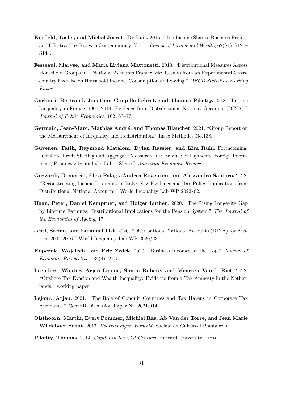- <span id="page-34-7"></span>Fairfield, Tasha, and Michel Jorratt De Luis. 2016. "Top Income Shares, Business Profits, and Effective Tax Rates in Contemporary Chile." Review of Income and Wealth, 62(S1): S120– S144.
- <span id="page-34-3"></span>Fesseaui, Maryse, and Maria Liviana Mattonetti. 2013. "Distributional Measures Across Household Groups in a National Accounts Framework: Results from an Experimental Crosscountry Exercise on Household Income, Consumption and Saving." OECD Statistics Working Papers.
- <span id="page-34-4"></span>Garbinti, Bertrand, Jonathan Goupille-Lebret, and Thomas Piketty. 2018. "Income Inequality in France, 1900–2014: Evidence from Distributional National Accounts (DINA)." Journal of Public Economics, 162: 63–77.
- <span id="page-34-10"></span>Germain, Jean-Marc, Mathias André, and Thomas Blanchet. 2021. "Group Report on the Measurement of Inequality and Redistribution." Insee Méthodes No.138.
- <span id="page-34-6"></span>Guvenen, Fatih, Raymond Mataloni, Dylan Rassier, and Kim Ruhl. Forthcoming. "Offshore Profit Shifting and Aggregate Measurement: Balance of Payments, Foreign Investment, Productivity, and the Labor Share." American Economic Review.
- <span id="page-34-1"></span>Guzzardi, Demetrio, Elisa Palagi, Andrea Roventini, and Alessandro Santoro. 2022. "Reconstructing Income Inequality in Italy: New Evidence and Tax Policy Implications from Distributional National Accounts." World Inequality Lab WP 2022/02.
- <span id="page-34-11"></span>Haan, Peter, Daniel Kemptner, and Holger Lüthen. 2020. "The Rising Longevity Gap by Lifetime Earnings: Distributional Implications for the Pension System." The Journal of the Economics of Ageing, 17.
- <span id="page-34-2"></span>Jestl, Stefan, and Emanuel List. 2020. "Distributional National Accounts (DINA) for Austria, 2004-2016." World Inequality Lab WP 2020/23.
- <span id="page-34-8"></span>Kopczuk, Wojciech, and Eric Zwick. 2020. "Business Incomes at the Top." Journal of Economic Perspectives, 34(4): 27–51.
- <span id="page-34-9"></span>Leenders, Wouter, Arjan Lejour, Simon Rabaté, and Maarten Van 't Riet. 2022. "Offshore Tax Evasion and Wealth Inequality: Evidence from a Tax Amnesty in the Netherlands." working paper.
- <span id="page-34-5"></span>Lejour, Arjan. 2021. "The Role of Conduit Countries and Tax Havens in Corporate Tax Avoidance." CentER Discussion Paper Nr. 2021-014.
- <span id="page-34-12"></span>Olsthoorn, Martin, Evert Pommer, Michiel Ras, Ab Van der Torre, and Jean Marie Wildeboer Schut. 2017. Voorzieningen Verdeeld. Sociaal en Cultureel Planbureau.
- <span id="page-34-0"></span>Piketty, Thomas. 2014. Capital in the 21st Century. Harvard University Press.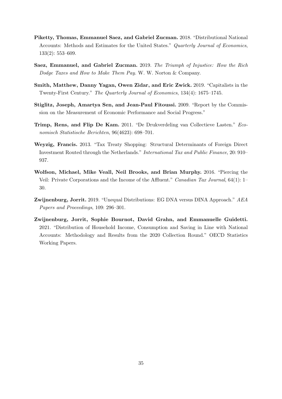- <span id="page-35-2"></span>Piketty, Thomas, Emmanuel Saez, and Gabriel Zucman. 2018. "Distributional National Accounts: Methods and Estimates for the United States." Quarterly Journal of Economics, 133(2): 553–609.
- <span id="page-35-8"></span>Saez, Emmanuel, and Gabriel Zucman. 2019. The Triumph of Injustice: How the Rich Dodge Taxes and How to Make Them Pay. W. W. Norton & Company.
- <span id="page-35-6"></span>Smith, Matthew, Danny Yagan, Owen Zidar, and Eric Zwick. 2019. "Capitalists in the Twenty-First Century." The Quarterly Journal of Economics, 134(4): 1675–1745.
- <span id="page-35-0"></span>Stiglitz, Joseph, Amartya Sen, and Jean-Paul Fitoussi. 2009. "Report by the Commission on the Measurement of Economic Performance and Social Progress."
- <span id="page-35-4"></span>Trimp, Rens, and Flip De Kam. 2011. "De Drukverdeling van Collectieve Lasten." Economisch Statistische Berichten, 96(4623): 698–701.
- <span id="page-35-5"></span>Weyzig, Francis. 2013. "Tax Treaty Shopping: Structural Determinants of Foreign Direct Investment Routed through the Netherlands." International Tax and Public Finance, 20: 910– 937.
- <span id="page-35-7"></span>Wolfson, Michael, Mike Veall, Neil Brooks, and Brian Murphy. 2016. "Piercing the Veil: Private Corporations and the Income of the Affluent." Canadian Tax Journal, 64(1): 1– 30.
- <span id="page-35-1"></span>Zwijnenburg, Jorrit. 2019. "Unequal Distributions: EG DNA versus DINA Approach." AEA Papers and Proceedings, 109: 296–301.
- <span id="page-35-3"></span>Zwijnenburg, Jorrit, Sophie Bournot, David Grahn, and Emmanuelle Guidetti. 2021. "Distribution of Household Income, Consumption and Saving in Line with National Accounts: Methodology and Results from the 2020 Collection Round." OECD Statistics Working Papers.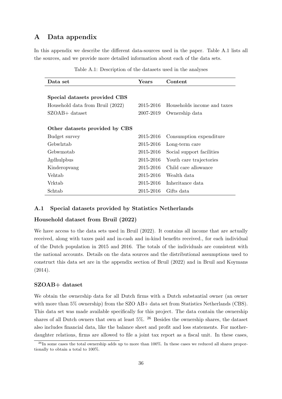## <span id="page-36-0"></span>A Data appendix

<span id="page-36-1"></span>In this appendix we describe the different data-sources used in the paper. Table [A.1](#page-36-1) lists all the sources, and we provide more detailed information about each of the data sets.

| Data set                         | $\rm Years$ | Content                     |
|----------------------------------|-------------|-----------------------------|
|                                  |             |                             |
| Special datasets provided CBS    |             |                             |
| Household data from Bruil (2022) | 2015-2016   | Households income and taxes |
| SZOAB+ dataset                   | 2007-2019   | Ownership data              |
|                                  |             |                             |
| Other datasets provided by CBS   |             |                             |
| Budget survey                    | 2015-2016   | Consumption expenditure     |
| Gebwlztab                        | 2015-2016   | Long-term care              |
| Gebwmotab                        | 2015-2016   | Social support facilities   |
| <b>Jgdhulpbus</b>                | 2015-2016   | Youth care trajectories     |
| Kinderopvang                     | 2015-2016   | Child care allowance        |
| Vehtab                           | 2015-2016   | Wealth data                 |
| Vrktab                           | 2015-2016   | Inheritance data            |
| Schtab                           | 2015-2016   | Gifts data                  |

Table A.1: Description of the datasets used in the analyses

## A.1 Special datasets provided by Statistics Netherlands

## Household dataset from [Bruil](#page-33-1) [\(2022\)](#page-33-1)

We have access to the data sets used in [Bruil](#page-33-1) [\(2022\)](#page-33-1). It contains all income that are actually received, along with taxes paid and in-cash and in-kind benefits received., for each individual of the Dutch population in 2015 and 2016. The totals of the individuals are consistent with the national accounts. Details on the data sources and the distributional assumptions used to construct this data set are in the appendix section of [Bruil](#page-33-1) [\(2022\)](#page-33-1) and in [Bruil and Koymans](#page-33-13) [\(2014\)](#page-33-13).

## SZOAB+ dataset

We obtain the ownership data for all Dutch firms with a Dutch substantial owner (an owner with more than 5% ownership) from the SZO AB+ data set from Statistics Netherlands (CBS). This data set was made available specifically for this project. The data contain the ownership shares of all Dutch owners that own at least  $5\%$ .  $^{26}$  $^{26}$  $^{26}$  Besides the ownership shares, the dataset also includes financial data, like the balance sheet and profit and loss statements. For motherdaughter relations, firms are allowed to file a joint tax report as a fiscal unit. In these cases,

 $^{26}$ In some cases the total ownership adds up to more than 100%. In these cases we reduced all shares proportionally to obtain a total to 100%.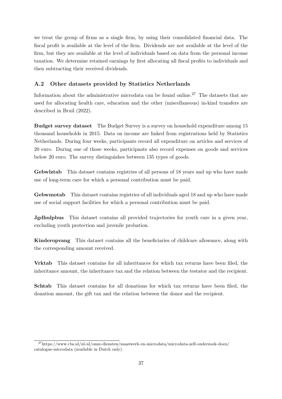we treat the group of firms as a single firm, by using their consolidated financial data. The fiscal profit is available at the level of the firm. Dividends are not available at the level of the firm, but they are available at the level of individuals based on data from the personal income taxation. We determine retained earnings by first allocating all fiscal profits to individuals and then subtracting their received dividends.

## A.2 Other datasets provided by Statistics Netherlands

Information about the administrative microdata can be found online.[27](#page-1-0) The datasets that are used for allocating health care, education and the other (miscellaneous) in-kind transfers are described in [Bruil](#page-33-1) [\(2022\)](#page-33-1).

Budget survey dataset The Budget Survey is a survey on household expenditure among 15 thousand households in 2015. Data on income are linked from registrations held by Statistics Netherlands. During four weeks, participants record all expenditure on articles and services of 20 euro. During one of those weeks, participants also record expenses on goods and services below 20 euro. The survey distinguishes between 135 types of goods.

Gebwlztab This dataset contains registries of all persons of 18 years and up who have made use of long-term care for which a personal contribution must be paid.

Gebwmotab This dataset contains registries of all individuals aged 18 and up who have made use of social support facilities for which a personal contribution must be paid.

Jgdhulpbus This dataset contains all provided trajectories for youth care in a given year, excluding youth protection and juvenile probation.

Kinderopvang This dataset contains all the beneficiaries of childcare allowance, along with the corresponding amount received.

Vrktab This dataset contains for all inheritances for which tax returns have been filed, the inheritance amount, the inheritance tax and the relation between the testator and the recipient.

Schtab This dataset contains for all donations for which tax returns have been filed, the donation amount, the gift tax and the relation between the donor and the recipient.

 $^{27}\mathrm{https://www.cbs.nl/nl-nl/onze-diensten/maatwerk-en-microdata/microdata-zelf-onderzoek-doen/$  $^{27}\mathrm{https://www.cbs.nl/nl-nl/onze-diensten/maatwerk-en-microdata/microdata-zelf-onderzoek-doen/$ [catalogus-microdata](https://www.cbs.nl/nl-nl/onze-diensten/maatwerk-en-microdata/microdata-zelf-onderzoek-doen/catalogus-microdata) (available in Dutch only).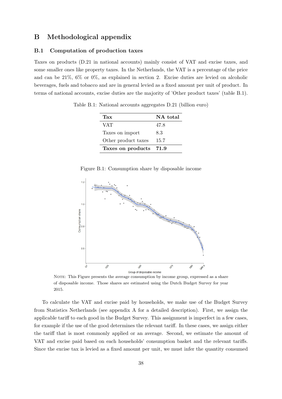## B Methodological appendix

## <span id="page-38-0"></span>B.1 Computation of production taxes

<span id="page-38-1"></span>Taxes on products (D.21 in national accounts) mainly consist of VAT and excise taxes, and some smaller ones like property taxes. In the Netherlands, the VAT is a percentage of the price and can be 21%, 6% or 0%, as explained in section [2.](#page-4-0) Excise duties are levied on alcoholic beverages, fuels and tobacco and are in general levied as a fixed amount per unit of product. In terms of national accounts, excise duties are the majority of 'Other product taxes' (table [B.1\)](#page-38-1).

Table B.1: National accounts aggregates D.21 (billion euro)

| Tax                    | NA total |
|------------------------|----------|
| <b>VAT</b>             | 47.8     |
| Taxes on import        | 8.3      |
| Other product taxes    | 15.7     |
| Taxes on products 71.9 |          |

| Figure B.1: Consumption share by disposable income |  |  |  |  |
|----------------------------------------------------|--|--|--|--|
|                                                    |  |  |  |  |

<span id="page-38-2"></span>

Group of disposable income<br>NOTE: This Figure presents the average consumption by income group, expressed as a share of disposable income. Those shares are estimated using the Dutch Budget Survey for year 2015.

To calculate the VAT and excise paid by households, we make use of the Budget Survey from Statistics Netherlands (see appendix [A](#page-36-0) for a detailed description). First, we assign the applicable tariff to each good in the Budget Survey. This assignment is imperfect in a few cases, for example if the use of the good determines the relevant tariff. In these cases, we assign either the tariff that is most commonly applied or an average. Second, we estimate the amount of VAT and excise paid based on each households' consumption basket and the relevant tariffs. Since the excise tax is levied as a fixed amount per unit, we must infer the quantity consumed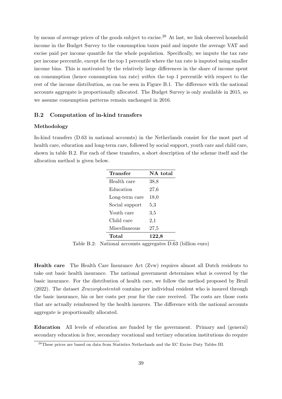by means of average prices of the goods subject to excise.[28](#page-1-0) At last, we link observed household income in the Budget Survey to the consumption taxes paid and impute the average VAT and excise paid per income quantile for the whole population. Specifically, we impute the tax rate per income percentile, except for the top 1 percentile where the tax rate is imputed using smaller income bins. This is motivated by the relatively large differences in the share of income spent on consumption (hence consumption tax rate) within the top 1 percentile with respect to the rest of the income distribution, as can be seen in Figure [B.1.](#page-38-2) The difference with the national accounts aggregate is proportionally allocated. The Budget Survey is only available in 2015, so we assume consumption patterns remain unchanged in 2016.

## <span id="page-39-0"></span>B.2 Computation of in-kind transfers

## Methodology

<span id="page-39-1"></span>In-kind transfers (D.63 in national accounts) in the Netherlands consist for the most part of health care, education and long-term care, followed by social support, youth care and child care, shown in table [B.2.](#page-39-1) For each of these transfers, a short description of the scheme itself and the allocation method is given below.

| Transfer       | NA total |  |  |
|----------------|----------|--|--|
| Health care    | 38,8     |  |  |
| Education      | 27,6     |  |  |
| Long-term care | 18,0     |  |  |
| Social support | 5,3      |  |  |
| Youth care     | 3,5      |  |  |
| Child care     | $^{2,1}$ |  |  |
| Miscellaneous  | 27,5     |  |  |
| Total          | 122,8    |  |  |

Table B.2: National accounts aggregates D.63 (billion euro)

Health care The Health Care Insurance Act (Zvw) requires almost all Dutch residents to take out basic health insurance. The national government determines what is covered by the basic insurance. For the distribution of health care, we follow the method proposed by [Bruil](#page-33-1) [\(2022\)](#page-33-1). The dataset Zvwzorgkostentab contains per individual resident who is insured through the basic insurance, his or her costs per year for the care received. The costs are those costs that are actually reimbursed by the health insurers. The difference with the national accounts aggregate is proportionally allocated.

Education All levels of education are funded by the government. Primary and (general) secondary education is free, secondary vocational and tertiary education institutions do require

<sup>28</sup>These prices are based on data from [Statistics Netherlands](https://www.cbs.nl/nl-nl/cijfers/detail/80346ned) and the [EC Excise Duty Tables III.](https://ec.europa.eu/taxation_customs/index_en)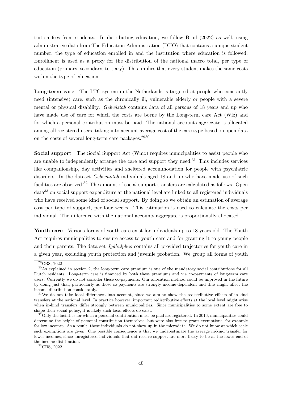tuition fees from students. In distributing education, we follow [Bruil](#page-33-1) [\(2022\)](#page-33-1) as well, using administrative data from The Education Administration (DUO) that contains a unique student number, the type of education enrolled in and the institution where education is followed. Enrollment is used as a proxy for the distribution of the national macro total, per type of education (primary, secondary, tertiary). This implies that every student makes the same costs within the type of education.

Long-term care The LTC system in the Netherlands is targeted at people who constantly need (intensive) care, such as the chronically ill, vulnerable elderly or people with a severe mental or physical disability. Gebwlztab contains data of all persons of 18 years and up who have made use of care for which the costs are borne by the Long-term care Act (Wlz) and for which a personal contribution must be paid. The national accounts aggregate is allocated among all registered users, taking into account average cost of the care type based on open data on the costs of several long-term care packages.[2930](#page-1-0)

Social support The Social Support Act (Wmo) requires municipalities to assist people who are unable to independently arrange the care and support they need.<sup>[31](#page-1-0)</sup> This includes services like companionship, day activities and sheltered accommodation for people with psychiatric disorders. In the dataset *Gebwmotab* individuals aged 18 and up who have made use of such facilities are observed.<sup>[32](#page-1-0)</sup> The amount of social support transfers are calculated as follows. Open data[33](#page-1-0) on social support expenditure at the national level are linked to all registered individuals who have received some kind of social support. By doing so we obtain an estimation of average cost per type of support, per four weeks. This estimation is used to calculate the costs per individual. The difference with the national accounts aggregate is proportionally allocated.

Youth care Various forms of youth care exist for individuals up to 18 years old. The Youth Act requires municipalities to ensure access to youth care and for granting it to young people and their parents. The data set *Jgdhulpbus* contains all provided trajectories for youth care in a given year, excluding youth protection and juvenile probation. We group all forms of youth

 $29$ [CBS, 2022](https://opendata.cbs.nl/statline/#/CBS/nl/dataset/82789NED/table)

 $30\,\text{As}$  explained in section [2,](#page-4-0) the long-term care premium is one of the mandatory social contributions for all Dutch residents. Long-term care is financed by both these premiums and via co-payments of long-term care users. Currently we do not consider these co-payments. Our allocation method could be improved in the future by doing just that, particularly as those co-payments are strongly income-dependent and thus might affect the income distribution considerably.

<sup>&</sup>lt;sup>31</sup>We do not take local differences into account, since we aim to show the redistributive effects of in-kind transfers at the national level. In practice however, important redistributive effects at the local level might arise when in-kind transfers differ strongly between municipalities. Since municipalities to some extent are free to shape their social policy, it is likely such local effects do exist.

 $32$ Only the facilities for which a personal contribution must be paid are registered. In 2016, municipalities could determine the height of personal contribution themselves, but were also free to grant exemptions, for example for low incomes. As a result, those individuals do not show up in the microdata. We do not know at which scale such exemptions are given. One possible consequence is that we underestimate the average in-kind transfer for lower incomes, since unregistered individuals that did receive support are more likely to be at the lower end of the income distribution.

<sup>33</sup>[CBS, 2022](https://opendata.cbs.nl/#/CBS/nl/dataset/84580NED/table)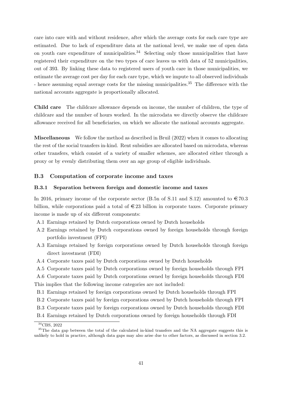care into care with and without residence, after which the average costs for each care type are estimated. Due to lack of expenditure data at the national level, we make use of open data on youth care expenditure of municipalities.<sup>[34](#page-1-0)</sup> Selecting only those municipalities that have registered their expenditure on the two types of care leaves us with data of 52 municipalities, out of 393. By linking these data to registered users of youth care in those municipalities, we estimate the average cost per day for each care type, which we impute to all observed individuals - hence assuming equal average costs for the missing municipalities.<sup>[35](#page-1-0)</sup> The difference with the national accounts aggregate is proportionally allocated.

Child care The childcare allowance depends on income, the number of children, the type of childcare and the number of hours worked. In the microdata we directly observe the childcare allowance received for all beneficiaries, on which we allocate the national accounts aggregate.

Miscellaneous We follow the method as described in [Bruil](#page-33-1) [\(2022\)](#page-33-1) when it comes to allocating the rest of the social transfers in-kind. Rent subsidies are allocated based on microdata, whereas other transfers, which consist of a variety of smaller schemes, are allocated either through a proxy or by evenly distributing them over an age group of eligible individuals.

## <span id="page-41-0"></span>B.3 Computation of corporate income and taxes

#### B.3.1 Separation between foreign and domestic income and taxes

In 2016, primary income of the corporate sector (B.5n of S.11 and S.12) amounted to  $\in 70.3$ billion, while corporations paid a total of  $\in 23$  billion in corporate taxes. Corporate primary income is made up of six different components:

- A.1 Earnings retained by Dutch corporations owned by Dutch households
- A.2 Earnings retained by Dutch corporations owned by foreign households through foreign portfolio investment (FPI)
- A.3 Earnings retained by foreign corporations owned by Dutch households through foreign direct investment (FDI)
- A.4 Corporate taxes paid by Dutch corporations owned by Dutch households
- A.5 Corporate taxes paid by Dutch corporations owned by foreign households through FPI
- A.6 Corporate taxes paid by Dutch corporations owned by foreign households through FDI This implies that the following income categories are not included:
- B.1 Earnings retained by foreign corporations owned by Dutch households through FPI
- B.2 Corporate taxes paid by foreign corporations owned by Dutch households through FPI
- B.3 Corporate taxes paid by foreign corporations owned by Dutch households through FDI
- B.4 Earnings retained by Dutch corporations owned by foreign households through FDI

<sup>34</sup>[CBS, 2022](https://opendata.cbs.nl/#/CBS/nl/dataset/83454NED/table?ts=1630489418255)

<sup>&</sup>lt;sup>35</sup>The data gap between the total of the calculated in-kind transfers and the NA aggregate suggests this is unlikely to hold in practice, although data gaps may also arise due to other factors, as discussed in section 3.2.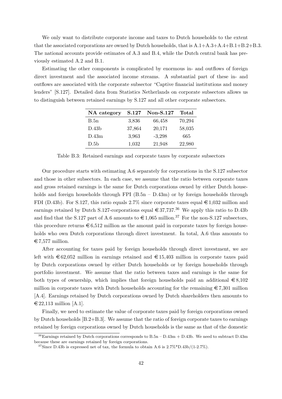We only want to distribute corporate income and taxes to Dutch households to the extent that the associated corporations are owned by Dutch households, that is  $A.1+A.3+A.4+B.1+B.2+B.3$ . The national accounts provide estimates of A.3 and B.4, while the Dutch central bank has previously estimated A.2 and B.1.

Estimating the other components is complicated by enormous in- and outflows of foreign direct investment and the associated income streams. A substantial part of these in- and outflows are associated with the corporate subsector "Captive financial institutions and money lenders" [S.127]. Detailed data from Statistics Netherlands on corporate subsectors allows us to distinguish between retained earnings by S.127 and all other corporate subsectors.

| NA category       | S.127  | Non-S.127 | Total  |
|-------------------|--------|-----------|--------|
| B.5n              | 3,836  | 66,458    | 70,294 |
| D.43 <sub>b</sub> | 37,864 | 20,171    | 58,035 |
| D.43m             | 3,963  | $-3,298$  | 665    |
| D.5 <sub>b</sub>  | 1,032  | 21,948    | 22,980 |

Table B.3: Retained earnings and corporate taxes by corporate subsectors

Our procedure starts with estimating A.6 separately for corporations in the S.127 subsector and those in other subsectors. In each case, we assume that the ratio between corporate taxes and gross retained earnings is the same for Dutch corporations owned by either Dutch households and foreign households through FPI  $(B.5n - D.43m)$  or by foreign households through FDI (D.43b). For S.127, this ratio equals 2.7% since corporate taxes equal  $\in 1,032$  million and earnings retained by Dutch S.127-corporations equal  $\in 37,737^{36}$  $\in 37,737^{36}$  $\in 37,737^{36}$  We apply this ratio to D.43b and find that the S.127 part of A.6 amounts to  $\in 1.065$  million.<sup>[37](#page-1-0)</sup> For the non-S.127 subsectors, this procedure returns  $\epsilon \in 6.512$  million as the amount paid in corporate taxes by foreign households who own Dutch corporations through direct investment. In total, A.6 thus amounts to  $\text{\textsterling }7.577$  million.

After accounting for taxes paid by foreign households through direct investment, we are left with  $\epsilon$ 62,052 million in earnings retained and  $\epsilon$ 15,403 million in corporate taxes paid by Dutch corporations owned by either Dutch households or by foreign households through portfolio investment. We assume that the ratio between taxes and earnings is the same for both types of ownership, which implies that foreign households paid an additional  $\epsilon \approx 8.102$ million in corporate taxes with Dutch households accounting for the remaining  $\epsilon$  7,301 million [A.4]. Earnings retained by Dutch corporations owned by Dutch shareholders then amounts to  $\in$  22,113 million [A.1].

Finally, we need to estimate the value of corporate taxes paid by foreign corporations owned by Dutch households [B.2+B.3]. We assume that the ratio of foreign corporate taxes to earnings retained by foreign corporations owned by Dutch households is the same as that of the domestic

<sup>&</sup>lt;sup>36</sup>Earnings retained by Dutch corporations corresponds to  $B.5n - D.43m + D.43b$ . We need to subtract D.43m because these are earnings retained by foreign corporations.

<sup>&</sup>lt;sup>37</sup>Since D.43b is expressed net of tax, the formula to obtain A.6 is  $2.7\%$ <sup>\*</sup>D.43b/(1-2.7%).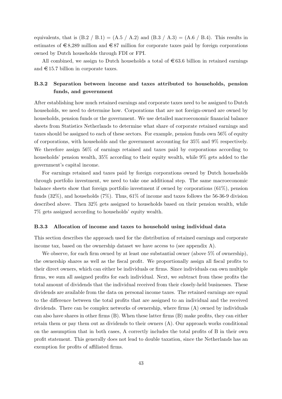equivalents, that is  $(B.2 / B.1) = (A.5 / A.2)$  and  $(B.3 / A.3) = (A.6 / B.4)$ . This results in estimates of  $\epsilon$ 8,289 million and  $\epsilon$ 87 million for corporate taxes paid by foreign corporations owned by Dutch households through FDI or FPI.

All combined, we assign to Dutch households a total of  $\epsilon$  63.6 billion in retained earnings and  $\in$  15.7 billion in corporate taxes.

## B.3.2 Separation between income and taxes attributed to households, pension funds, and government

After establishing how much retained earnings and corporate taxes need to be assigned to Dutch households, we need to determine how. Corporations that are not foreign-owned are owned by households, pension funds or the government. We use detailed macroeconomic financial balance sheets from Statistics Netherlands to determine what share of corporate retained earnings and taxes should be assigned to each of these sectors. For example, pension funds own 56% of equity of corporations, with households and the government accounting for 35% and 9% respectively. We therefore assign 56% of earnings retained and taxes paid by corporations according to households' pension wealth, 35% according to their equity wealth, while 9% gets added to the government's capital income.

For earnings retained and taxes paid by foreign corporations owned by Dutch households through portfolio investment, we need to take one additional step. The same macroeconomic balance sheets show that foreign portfolio investment if owned by corporations (61%), pension funds (32%), and households (7%). Thus, 61% of income and taxes follows the 56-36-9 division described above. Then 32% gets assigned to households based on their pension wealth, while 7% gets assigned according to households' equity wealth.

## B.3.3 Allocation of income and taxes to household using individual data

This section describes the approach used for the distribution of retained earnings and corporate income tax, based on the ownership dataset we have access to (see appendix  $A$ ).

We observe, for each firm owned by at least one substantial owner (above 5\% of ownership), the ownership shares as well as the fiscal profit. We proportionally assign all fiscal profits to their direct owners, which can either be individuals or firms. Since individuals can own multiple firms, we sum all assigned profits for each individual. Next, we subtract from these profits the total amount of dividends that the individual received from their closely-held businesses. These dividends are available from the data on personal income taxes. The retained earnings are equal to the difference between the total profits that are assigned to an individual and the received dividends. There can be complex networks of ownership, where firms (A) owned by individuals can also have shares in other firms (B). When these latter firms (B) make profits, they can either retain them or pay them out as dividends to their owners (A). Our approach works conditional on the assumption that in both cases, A correctly includes the total profits of B in their own profit statement. This generally does not lead to double taxation, since the Netherlands has an exemption for profits of affiliated firms.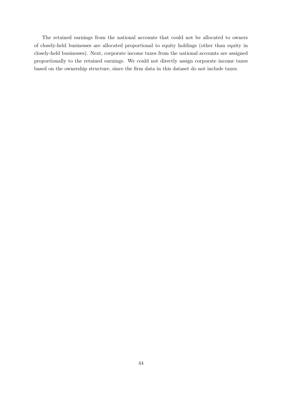The retained earnings from the national accounts that could not be allocated to owners of closely-held businesses are allocated proportional to equity holdings (other than equity in closely-held businesses). Next, corporate income taxes from the national accounts are assigned proportionally to the retained earnings. We could not directly assign corporate income taxes based on the ownership structure, since the firm data in this dataset do not include taxes.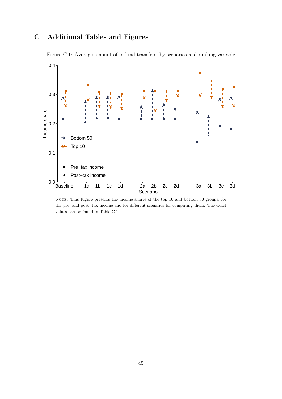# C Additional Tables and Figures



<span id="page-45-0"></span>Figure C.1: Average amount of in-kind transfers, by scenarios and ranking variable

NOTE: This Figure presents the income shares of the top 10 and bottom 50 groups, for the pre- and post- tax income and for different scenarios for computing them. The exact values can be found in Table [C.1.](#page-47-0)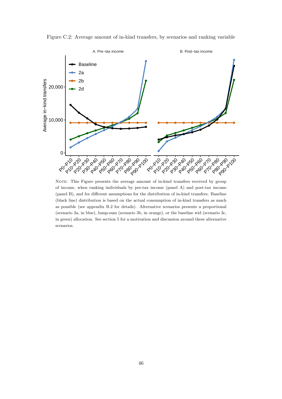

<span id="page-46-0"></span>Figure C.2: Average amount of in-kind transfers, by scenarios and ranking variable

NOTE: This Figure presents the average amount of in-kind transfers received by group of income, when ranking individuals by pre-tax income (panel A) and post-tax income (panel B), and for different assumptions for the distribution of in-kind transfers. Baseline (black line) distribution is based on the actual consumption of in-kind transfers as much as possible (see appendix [B.2](#page-39-0) for details). Alternative scenarios presents a proportional (scenario 3a, in blue), lump-sum (scenario 3b, in orange), or the baseline wid (scenario 3c, in green) allocation. See section [5](#page-26-0) for a motivation and discussion around these alternative scenarios.